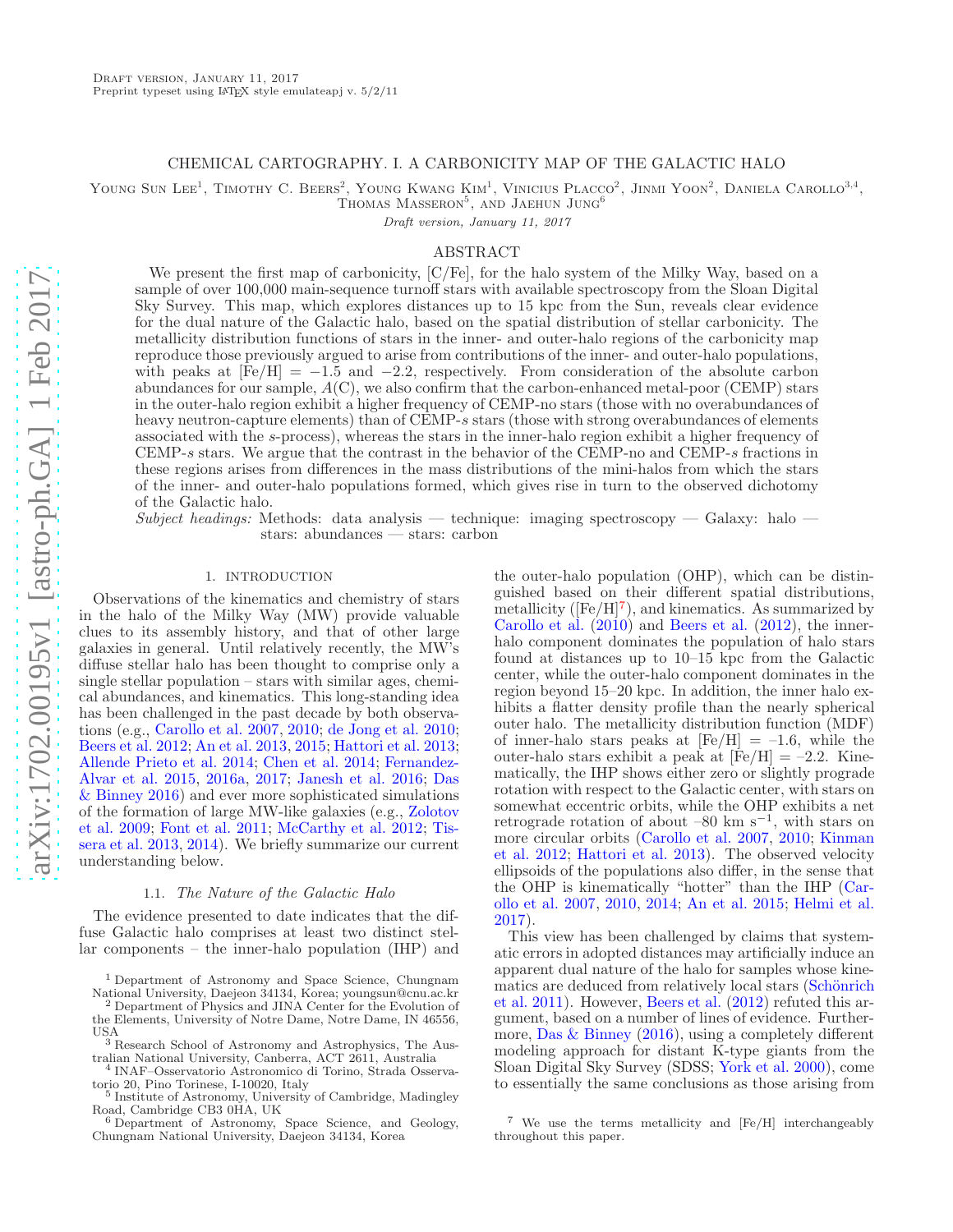## CHEMICAL CARTOGRAPHY. I. A CARBONICITY MAP OF THE GALACTIC HALO

YOUNG SUN LEE<sup>1</sup>, TIMOTHY C. BEERS<sup>2</sup>, YOUNG KWANG KIM<sup>1</sup>, VINICIUS PLACCO<sup>2</sup>, JINMI YOON<sup>2</sup>, DANIELA CAROLLO<sup>3,4</sup>,

 $T$ homas Masseron<sup>5</sup>, and Jaehun Jung<sup>6</sup>

Draft version, January 11, 2017

## ABSTRACT

We present the first map of carbonicity, [C/Fe], for the halo system of the Milky Way, based on a sample of over 100,000 main-sequence turnoff stars with available spectroscopy from the Sloan Digital Sky Survey. This map, which explores distances up to 15 kpc from the Sun, reveals clear evidence for the dual nature of the Galactic halo, based on the spatial distribution of stellar carbonicity. The metallicity distribution functions of stars in the inner- and outer-halo regions of the carbonicity map reproduce those previously argued to arise from contributions of the inner- and outer-halo populations, with peaks at  $\text{[Fe/H]} = -1.5$  and  $-2.2$ , respectively. From consideration of the absolute carbon abundances for our sample,  $A(C)$ , we also confirm that the carbon-enhanced metal-poor (CEMP) stars in the outer-halo region exhibit a higher frequency of CEMP-no stars (those with no overabundances of heavy neutron-capture elements) than of CEMP-s stars (those with strong overabundances of elements associated with the s-process), whereas the stars in the inner-halo region exhibit a higher frequency of CEMP-s stars. We argue that the contrast in the behavior of the CEMP-no and CEMP-s fractions in these regions arises from differences in the mass distributions of the mini-halos from which the stars of the inner- and outer-halo populations formed, which gives rise in turn to the observed dichotomy of the Galactic halo.

Subject headings: Methods: data analysis — technique: imaging spectroscopy — Galaxy: halo stars: abundances — stars: carbon

## 1. INTRODUCTION

Observations of the kinematics and chemistry of stars in the halo of the Milky Way (MW) provide valuable clues to its assembly history, and that of other large galaxies in general. Until relatively recently, the MW's diffuse stellar halo has been thought to comprise only a single stellar population – stars with similar ages, chemical abundances, and kinematics. This long-standing idea has been challenged in the past decade by both observations (e.g., [Carollo et al. 2007](#page-10-0), [2010](#page-10-1); [de Jong et al. 2010;](#page-10-2) [Beers et al. 2012;](#page-10-3) [An et al. 2013,](#page-10-4) [2015;](#page-10-5) [Hattori et al. 2013;](#page-10-6) [Allende Prieto et al. 2014](#page-10-7); [Chen et al. 2014](#page-10-8)[;](#page-10-9) Fernandez-Alvar et al. [2015,](#page-10-9) [2016a,](#page-10-10) [2017](#page-10-11); [Janesh et al. 2016](#page-10-12)[;](#page-10-13) Das & Binney [2016](#page-10-13)) and ever more sophisticated simulations of th[e formation of large MW-like galaxies \(e.g.,](#page-11-0) Zolotov et al. [2009;](#page-11-0) [Font et al. 2011](#page-10-14); [McCarthy et al. 2012](#page-10-15)[;](#page-11-1) Tissera et al. [2013,](#page-11-1) [2014](#page-11-2)). We briefly summarize our current understanding below.

### 1.1. The Nature of the Galactic Halo

The evidence presented to date indicates that the diffuse Galactic halo comprises at least two distinct stellar components – the inner-halo population (IHP) and

the outer-halo population (OHP), which can be distinguished based on their different spatial distributions, metallicity ( $[Fe/H]^7$ ), and kinematics. As summarized by [Carollo et al.](#page-10-1) [\(2010](#page-10-1)) and [Beers et al.](#page-10-3) [\(2012\)](#page-10-3), the innerhalo component dominates the population of halo stars found at distances up to 10–15 kpc from the Galactic center, while the outer-halo component dominates in the region beyond 15–20 kpc. In addition, the inner halo exhibits a flatter density profile than the nearly spherical outer halo. The metallicity distribution function (MDF) of inner-halo stars peaks at  $[Fe/H] = -1.6$ , while the outer-halo stars exhibit a peak at  $[Fe/H] = -2.2$ . Kinematically, the IHP shows either zero or slightly prograde rotation with respect to the Galactic center, with stars on somewhat eccentric orbits, while the OHP exhibits a net retrograde rotation of about  $-80 \text{ km s}^{-1}$ , with stars on more [circular orbits](#page-10-16) [\(Carollo et al. 2007](#page-10-0)[,](#page-10-16) [2010;](#page-10-1) Kinman et al. [2012](#page-10-16); [Hattori et al. 2013](#page-10-6)). The observed velocity ellipsoids of the populations also differ, in the sense that the OHP [is kinematically "hotter" than the IHP \(](#page-10-0)Carollo et al. [2007,](#page-10-0) [2010](#page-10-1), [2014](#page-10-17); [An et al. 2015](#page-10-5); [Helmi et al.](#page-10-18) [2017\)](#page-10-18).

This view has been challenged by claims that systematic errors in adopted distances may artificially induce an apparent dual nature of the halo for samples whose kinemati[cs are deduced from relatively local stars \(](#page-11-3)Schönrich et al. [2011](#page-11-3)). However, [Beers et al.](#page-10-3) [\(2012\)](#page-10-3) refuted this argument, based on a number of lines of evidence. Furthermore, [Das & Binney](#page-10-13) [\(2016\)](#page-10-13), using a completely different modeling approach for distant K-type giants from the Sloan Digital Sky Survey (SDSS; [York et al. 2000](#page-11-4)), come to essentially the same conclusions as those arising from

<sup>&</sup>lt;sup>1</sup> Department of Astronomy and Space Science, Chungnam National University, Daejeon 34134, Korea; youngsun@cnu.ac.kr

<sup>2</sup> Department of Physics and JINA Center for the Evolution of the Elements, University of Notre Dame, Notre Dame, IN 46556, **IISA** 

<sup>3</sup> Research School of Astronomy and Astrophysics, The Australian National University, Canberra, ACT 2611, Australia

<sup>4</sup> INAF–Osservatorio Astronomico di Torino, Strada Osserva-

torio 20, Pino Torinese, I-10020, Italy 5 Institute of Astronomy, University of Cambridge, Madingley

Road, Cambridge CB3 0HA, UK <sup>6</sup> Department of Astronomy, Space Science, and Geology, Chungnam National University, Daejeon 34134, Korea

<sup>7</sup> We use the terms metallicity and [Fe/H] interchangeably throughout this paper.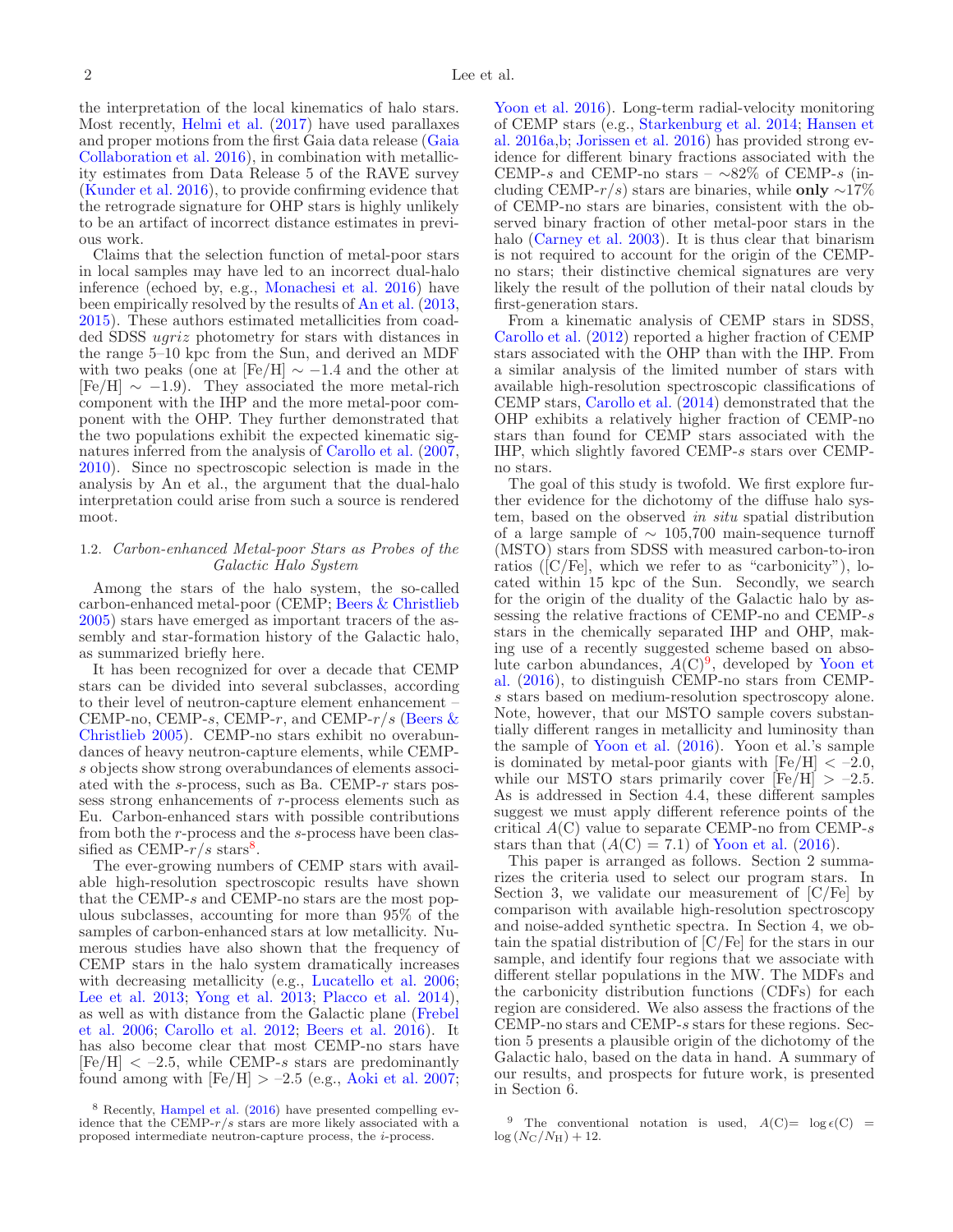the interpretation of the local kinematics of halo stars. Most recently, [Helmi et al.](#page-10-18) [\(2017](#page-10-18)) have used parallaxes and proper motions [from the first Gaia data release \(](#page-10-19)Gaia Collaboration et al. [2016](#page-10-19)), in combination with metallicity estimates from Data Release 5 of the RAVE survey [\(Kunder et al. 2016\)](#page-10-20), to provide confirming evidence that the retrograde signature for OHP stars is highly unlikely to be an artifact of incorrect distance estimates in previous work.

Claims that the selection function of metal-poor stars in local samples may have led to an incorrect dual-halo inference (echoed by, e.g., [Monachesi et al. 2016](#page-10-21)) have been empirically resolved by the results of [An et al.](#page-10-4) [\(2013,](#page-10-4) [2015\)](#page-10-5). These authors estimated metallicities from coadded SDSS ugriz photometry for stars with distances in the range 5–10 kpc from the Sun, and derived an MDF with two peaks (one at [Fe/H]  $\sim -1.4$  and the other at  $[Fe/H] \sim -1.9$ ). They associated the more metal-rich component with the IHP and the more metal-poor component with the OHP. They further demonstrated that the two populations exhibit the expected kinematic signatures inferred from the analysis of [Carollo et al.](#page-10-0) [\(2007,](#page-10-0) [2010\)](#page-10-1). Since no spectroscopic selection is made in the analysis by An et al., the argument that the dual-halo interpretation could arise from such a source is rendered moot.

## 1.2. Carbon-enhanced Metal-poor Stars as Probes of the Galactic Halo System

Among the stars of the halo system, the so-called carbon-enhanced metal-poor (CEMP; [Beers & Christlieb](#page-10-22) [2005\)](#page-10-22) stars have emerged as important tracers of the assembly and star-formation history of the Galactic halo, as summarized briefly here.

It has been recognized for over a decade that CEMP stars can be divided into several subclasses, according to their level of neutron-capture element enhancement – CEMP-no, CEMP-s, CEMP-r[, and CEMP-](#page-10-22) $r/s$  (Beers  $\&$ Christlieb [2005\)](#page-10-22). CEMP-no stars exhibit no overabundances of heavy neutron-capture elements, while CEMPs objects show strong overabundances of elements associated with the s-process, such as Ba. CEMP-r stars possess strong enhancements of r-process elements such as Eu. Carbon-enhanced stars with possible contributions from both the r-process and the s-process have been classified as CEMP- $r/s$  stars<sup>8</sup>.

The ever-growing numbers of CEMP stars with available high-resolution spectroscopic results have shown that the CEMP-s and CEMP-no stars are the most populous subclasses, accounting for more than 95% of the samples of carbon-enhanced stars at low metallicity. Numerous studies have also shown that the frequency of CEMP stars in the halo system dramatically increases with decreasing metallicity (e.g., [Lucatello et al. 2006;](#page-10-23) [Lee et al. 2013;](#page-10-24) [Yong et al. 2013;](#page-11-5) [Placco et al. 2014\)](#page-10-25), as w[ell as with distance from the Galactic plane \(](#page-10-26)Frebel et al. [2006;](#page-10-26) [Carollo et al. 2012;](#page-10-27) [Beers et al. 2016](#page-10-28)). It has also become clear that most CEMP-no stars have  $[Fe/H] < -2.5$ , while CEMP-s stars are predominantly found among with  $[Fe/H] > -2.5$  (e.g., [Aoki et al. 2007;](#page-10-29)

[Yoon et al. 2016](#page-11-6)). Long-term radial-velocity monitoring of CEMP stars (e.g., [Starkenburg et al. 2014;](#page-11-7) Hansen et al. [2016a](#page-10-31)[,b;](#page-10-32) [Jorissen et al. 2016](#page-10-33)) has provided strong evidence for different binary fractions associated with the CEMP-s and CEMP-no stars –  $\sim 82\%$  of CEMP-s (including CEMP- $r/s$ ) stars are binaries, while **only** ∼17% of CEMP-no stars are binaries, consistent with the observed binary fraction of other metal-poor stars in the halo [\(Carney et al. 2003\)](#page-10-34). It is thus clear that binarism is not required to account for the origin of the CEMPno stars; their distinctive chemical signatures are very likely the result of the pollution of their natal clouds by first-generation stars.

From a kinematic analysis of CEMP stars in SDSS, [Carollo et al.](#page-10-27) [\(2012\)](#page-10-27) reported a higher fraction of CEMP stars associated with the OHP than with the IHP. From a similar analysis of the limited number of stars with available high-resolution spectroscopic classifications of CEMP stars, [Carollo et al.](#page-10-17) [\(2014\)](#page-10-17) demonstrated that the OHP exhibits a relatively higher fraction of CEMP-no stars than found for CEMP stars associated with the IHP, which slightly favored CEMP-s stars over CEMPno stars.

The goal of this study is twofold. We first explore further evidence for the dichotomy of the diffuse halo system, based on the observed in situ spatial distribution of a large sample of  $\sim 105,700$  main-sequence turnoff (MSTO) stars from SDSS with measured carbon-to-iron ratios ([C/Fe], which we refer to as "carbonicity"), located within 15 kpc of the Sun. Secondly, we search for the origin of the duality of the Galactic halo by assessing the relative fractions of CEMP-no and CEMP-s stars in the chemically separated IHP and OHP, making use of a recently suggested scheme based on absolu[te carbon abundances,](#page-11-6)  $A(C)^9$ , developed by Yoon et al. [\(2016](#page-11-6)), to distinguish CEMP-no stars from CEMPs stars based on medium-resolution spectroscopy alone. Note, however, that our MSTO sample covers substantially different ranges in metallicity and luminosity than the sample of [Yoon et al.](#page-11-6) [\(2016\)](#page-11-6). Yoon et al.'s sample is dominated by metal-poor giants with  $[Fe/H] < -2.0$ , while our MSTO stars primarily cover  $[Fe/H] > -2.5$ . As is addressed in Section 4.4, these different samples suggest we must apply different reference points of the critical  $A(C)$  value to separate CEMP-no from CEMP-s stars than that  $(A(C) = 7.1)$  of [Yoon et al.](#page-11-6) [\(2016\)](#page-11-6).

This paper is arranged as follows. Section 2 summarizes the criteria used to select our program stars. In Section 3, we validate our measurement of [C/Fe] by comparison with available high-resolution spectroscopy and noise-added synthetic spectra. In Section 4, we obtain the spatial distribution of [C/Fe] for the stars in our sample, and identify four regions that we associate with different stellar populations in the MW. The MDFs and the carbonicity distribution functions (CDFs) for each region are considered. We also assess the fractions of the CEMP-no stars and CEMP-s stars for these regions. Section 5 presents a plausible origin of the dichotomy of the Galactic halo, based on the data in hand. A summary of our results, and prospects for future work, is presented in Section 6.

<sup>9</sup> The conventional notation is used,  $A(C) = \log \epsilon(C) =$  $log(N_{\rm C}/N_{\rm H}) + 12$ .

<sup>8</sup> Recently, [Hampel et al.](#page-10-30) [\(2016](#page-10-30)) have presented compelling evidence that the CEMP- $r/s$  stars are more likely associated with a proposed intermediate neutron-capture process, the i-process.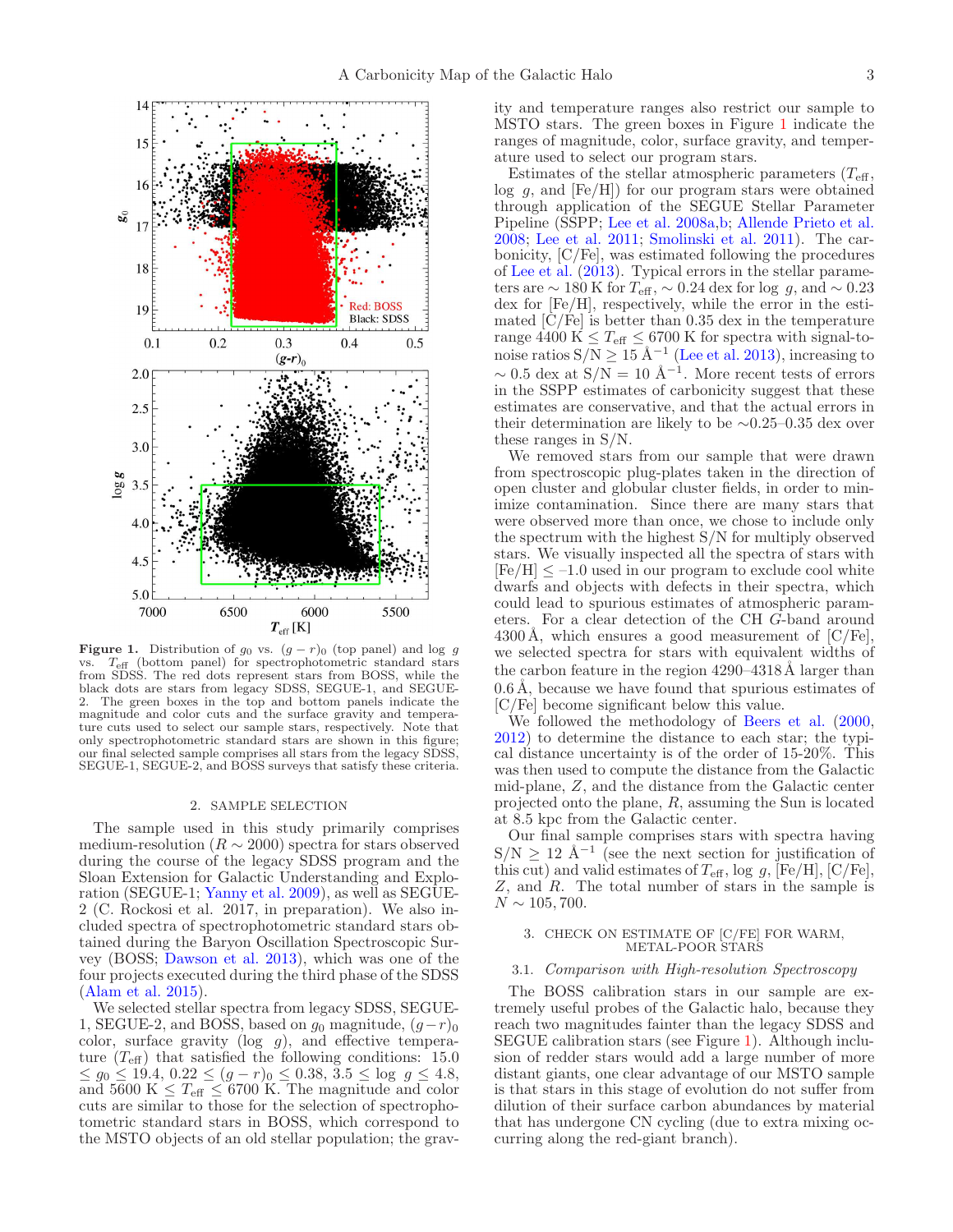

<span id="page-2-0"></span>**Figure 1.** Distribution of  $g_0$  vs.  $(g - r)_0$  (top panel) and log g vs.  $T_{\text{eff}}$  (bottom panel) for spectrophotometric standard stars from SDSS. The red dots represent stars from BOSS, while the black dots are stars from legacy SDSS, SEGUE-1, and SEGUE-2. The green boxes in the top and bottom panels indicate the magnitude and color cuts and the surface gravity and temperature cuts used to select our sample stars, respectively. Note that only spectrophotometric standard stars are shown in this figure; our final selected sample comprises all stars from the legacy SDSS, SEGUE-1, SEGUE-2, and BOSS surveys that satisfy these criteria.

#### 2. SAMPLE SELECTION

The sample used in this study primarily comprises medium-resolution ( $R \sim 2000$ ) spectra for stars observed during the course of the legacy SDSS program and the Sloan Extension for Galactic Understanding and Exploration (SEGUE-1; [Yanny et al. 2009\)](#page-11-8), as well as SEGUE-2 (C. Rockosi et al. 2017, in preparation). We also included spectra of spectrophotometric standard stars obtained during the Baryon Oscillation Spectroscopic Survey (BOSS; [Dawson et al. 2013\)](#page-10-35), which was one of the four projects executed during the third phase of the SDSS [\(Alam et al. 2015](#page-10-36)).

We selected stellar spectra from legacy SDSS, SEGUE-1, SEGUE-2, and BOSS, based on  $g_0$  magnitude,  $(g-r)_0$ color, surface gravity ( $log g$ ), and effective temperature  $(T_{\text{eff}})$  that satisfied the following conditions: 15.0  $\leq g_0 \leq 19.4, \, 0.22 \leq (g-r)_0 \leq 0.38, \, 3.5 \leq \log g \leq 4.8,$ and 5600 K  $\leq T_{\text{eff}} \leq 6700$  K. The magnitude and color cuts are similar to those for the selection of spectrophotometric standard stars in BOSS, which correspond to the MSTO objects of an old stellar population; the gravity and temperature ranges also restrict our sample to MSTO stars. The green boxes in Figure [1](#page-2-0) indicate the ranges of magnitude, color, surface gravity, and temperature used to select our program stars.

Estimates of the stellar atmospheric parameters  $(T_{\text{eff}}$ ,  $log\ g$ , and  $[Fe/H]$  for our program stars were obtained through application of the SEGUE Stellar Parameter Pipeline (SSPP; [Lee et al. 2008a](#page-10-37)[,b;](#page-10-38) [Allende Prieto et al.](#page-10-39) [2008;](#page-10-39) [Lee et al. 2011;](#page-10-40) [Smolinski et al. 2011\)](#page-11-9). The carbonicity, [C/Fe], was estimated following the procedures of [Lee et al.](#page-10-24) [\(2013\)](#page-10-24). Typical errors in the stellar parameters are  $\sim 180$  K for  $T_{\text{eff}}$ ,  $\sim 0.24$  dex for log g, and  $\sim 0.23$ dex for [Fe/H], respectively, while the error in the estimated  $\overline{C}/\overline{F}e$  is better than 0.35 dex in the temperature range 4400 K  $\leq T_{\text{eff}} \leq 6700$  K for spectra with signal-tonoise ratios  $S/N \ge 15 \text{ Å}^{-1}$  [\(Lee et al. 2013](#page-10-24)), increasing to  $\sim 0.5$  dex at  $S/N = 10 \text{ Å}^{-1}$ . More recent tests of errors in the SSPP estimates of carbonicity suggest that these estimates are conservative, and that the actual errors in their determination are likely to be ∼0.25–0.35 dex over these ranges in S/N.

We removed stars from our sample that were drawn from spectroscopic plug-plates taken in the direction of open cluster and globular cluster fields, in order to minimize contamination. Since there are many stars that were observed more than once, we chose to include only the spectrum with the highest S/N for multiply observed stars. We visually inspected all the spectra of stars with  $[Fe/H]$   $\leq$  -1.0 used in our program to exclude cool white dwarfs and objects with defects in their spectra, which could lead to spurious estimates of atmospheric parameters. For a clear detection of the CH G-band around  $4300\text{\AA}$ , which ensures a good measurement of [C/Fe], we selected spectra for stars with equivalent widths of the carbon feature in the region  $4290-4318\text{\AA}$  larger than  $0.6 \text{ Å}$ , because we have found that spurious estimates of [C/Fe] become significant below this value.

We followed the methodology of [Beers et al.](#page-10-41)  $(2000,$  $(2000,$ [2012\)](#page-10-3) to determine the distance to each star; the typical distance uncertainty is of the order of 15-20%. This was then used to compute the distance from the Galactic mid-plane, Z, and the distance from the Galactic center projected onto the plane, R, assuming the Sun is located at 8.5 kpc from the Galactic center.

Our final sample comprises stars with spectra having  $S/N \geq 12$  Å<sup>-1</sup> (see the next section for justification of this cut) and valid estimates of  $T_{\text{eff}}$ , log g, [Fe/H], [C/Fe], Z, and R. The total number of stars in the sample is  $N \sim 105, 700$ .

### 3. CHECK ON ESTIMATE OF [C/FE] FOR WARM, METAL-POOR STARS

### 3.1. Comparison with High-resolution Spectroscopy

The BOSS calibration stars in our sample are extremely useful probes of the Galactic halo, because they reach two magnitudes fainter than the legacy SDSS and SEGUE calibration stars (see Figure [1\)](#page-2-0). Although inclusion of redder stars would add a large number of more distant giants, one clear advantage of our MSTO sample is that stars in this stage of evolution do not suffer from dilution of their surface carbon abundances by material that has undergone CN cycling (due to extra mixing occurring along the red-giant branch).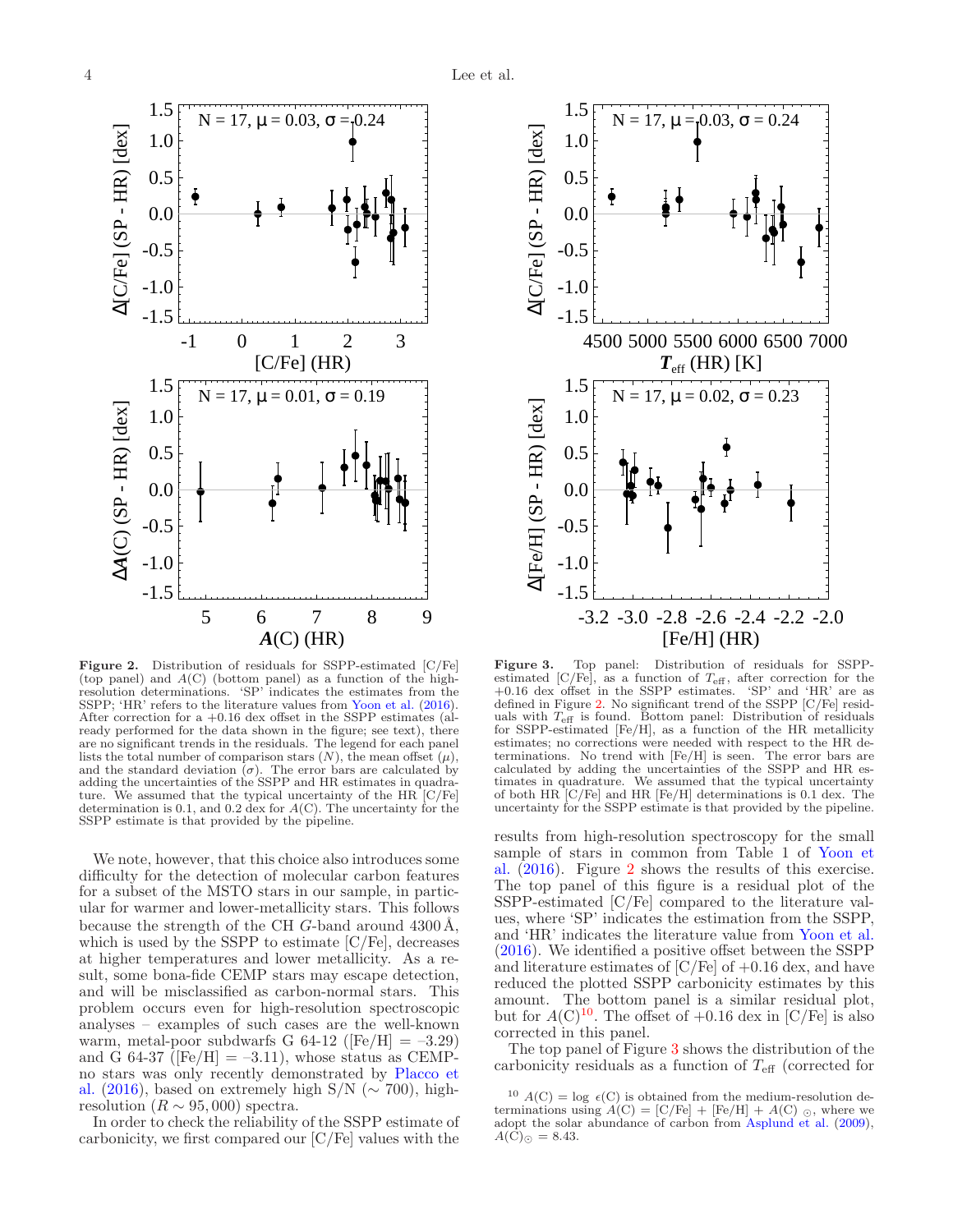

<span id="page-3-0"></span>

We note, however, that this choice also introduces some difficulty for the detection of molecular carbon features for a subset of the MSTO stars in our sample, in particular for warmer and lower-metallicity stars. This follows because the strength of the CH  $G$ -band around 4300 Å, which is used by the SSPP to estimate [C/Fe], decreases at higher temperatures and lower metallicity. As a result, some bona-fide CEMP stars may escape detection, and will be misclassified as carbon-normal stars. This problem occurs even for high-resolution spectroscopic analyses – examples of such cases are the well-known warm, metal-poor subdwarfs G 64-12 ( $[Fe/H] = -3.29$ ) and G 64-37 ( $[Fe/H] = -3.11$ ), whose status as CEMPn[o stars was only recently demonstrated by](#page-10-42) Placco et al. [\(2016](#page-10-42)), based on extremely high S/N ( $\sim$  700), highresolution ( $R \sim 95,000$ ) spectra.

In order to check the reliability of the SSPP estimate of carbonicity, we first compared our [C/Fe] values with the



<span id="page-3-1"></span>Figure 3. Top panel: Distribution of residuals for SSPPestimated  $\left[\frac{\text{C}}{\text{Fe}}\right]$ , as a function of  $T_{\text{eff}}$ , after correction for the +0.16 dex offset in the SSPP estimates. 'SP' and 'HR' are as defined in Figure [2.](#page-3-0) No significant trend of the SSPP [C/Fe] residuals with  $T_{\text{eff}}$  is found. Bottom panel: Distribution of residuals for SSPP-estimated [Fe/H], as a function of the HR metallicity estimates; no corrections were needed with respect to the HR determinations. No trend with [Fe/H] is seen. The error bars are calculated by adding the uncertainties of the SSPP and HR estimates in quadrature. We assumed that the typical uncertainty of both HR [C/Fe] and HR [Fe/H] determinations is 0.1 dex. The uncertainty for the SSPP estimate is that provided by the pipeline.

results from high-resolution spectroscopy for the small sa[mple of stars in common from Table 1 of](#page-11-6) Yoon et al. [\(2016](#page-11-6)). Figure [2](#page-3-0) shows the results of this exercise. The top panel of this figure is a residual plot of the SSPP-estimated [C/Fe] compared to the literature values, where 'SP' indicates the estimation from the SSPP, and 'HR' indicates the literature value from [Yoon et al.](#page-11-6) [\(2016\)](#page-11-6). We identified a positive offset between the SSPP and literature estimates of  $\left[{\rm C/Fe}\right]$  of  $+0.16$  dex, and have reduced the plotted SSPP carbonicity estimates by this amount. The bottom panel is a similar residual plot, but for  $A(\mathrm{C})^{10}$ . The offset of  $+0.16$  dex in [C/Fe] is also corrected in this panel.

The top panel of Figure [3](#page-3-1) shows the distribution of the carbonicity residuals as a function of  $T_{\text{eff}}$  (corrected for

<sup>&</sup>lt;sup>10</sup>  $A(C) = \log \epsilon(C)$  is obtained from the medium-resolution determinations using  $A(C) = [C/Fe] + [Fe/H] + A(C)$  <sub>O</sub>, where we adopt the solar abundance of carbon from [Asplund et al.](#page-10-43) [\(2009](#page-10-43)),  $A(\overline{C})_{\odot} = 8.43.$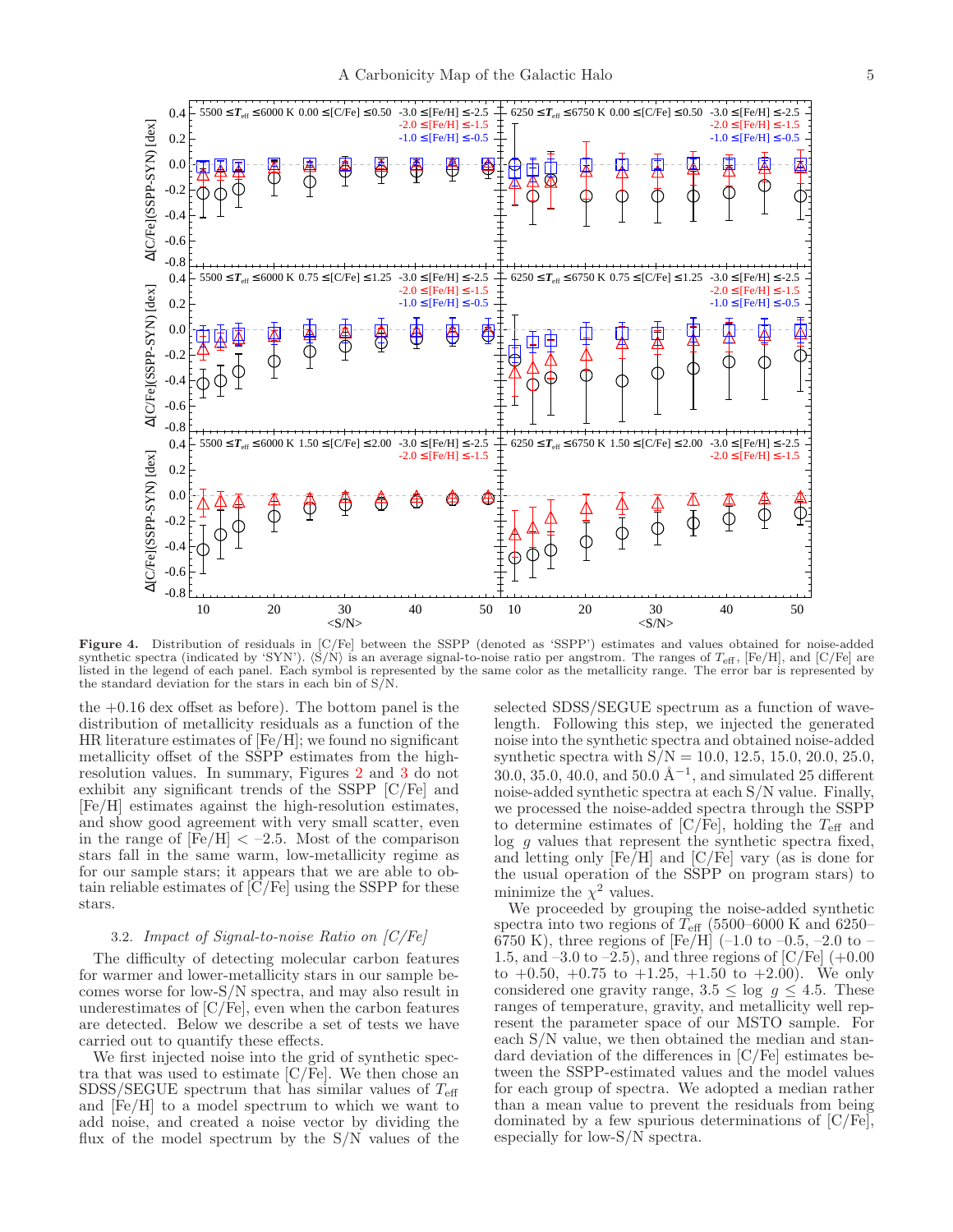

<span id="page-4-0"></span>Figure 4. Distribution of residuals in [C/Fe] between the SSPP (denoted as 'SSPP') estimates and values obtained for noise-added synthetic spectra (indicated by 'SYN').  $\langle \dot{S}/\dot{N} \rangle$  is an average signal-to-noise ratio per angstrom. The ranges of  $T_{\text{eff}}$ , [Fe/H], and [C/Fe] are listed in the legend of each panel. Each symbol is represented by the same color as the metallicity range. The error bar is represented by the standard deviation for the stars in each bin of S/N.

the +0.16 dex offset as before). The bottom panel is the distribution of metallicity residuals as a function of the HR literature estimates of [Fe/H]; we found no significant metallicity offset of the SSPP estimates from the highresolution values. In summary, Figures [2](#page-3-0) and [3](#page-3-1) do not exhibit any significant trends of the SSPP [C/Fe] and [Fe/H] estimates against the high-resolution estimates, and show good agreement with very small scatter, even in the range of  $[Fe/H] < -2.5$ . Most of the comparison stars fall in the same warm, low-metallicity regime as for our sample stars; it appears that we are able to obtain reliable estimates of [C/Fe] using the SSPP for these stars.

### 3.2. Impact of Signal-to-noise Ratio on [C/Fe]

The difficulty of detecting molecular carbon features for warmer and lower-metallicity stars in our sample becomes worse for low-S/N spectra, and may also result in underestimates of  $[C/Fe]$ , even when the carbon features are detected. Below we describe a set of tests we have carried out to quantify these effects.

We first injected noise into the grid of synthetic spectra that was used to estimate  $[C/Fe]$ . We then chose an  $SDSS/SEGUE$  spectrum that has similar values of  $T_{\text{eff}}$ and [Fe/H] to a model spectrum to which we want to add noise, and created a noise vector by dividing the flux of the model spectrum by the S/N values of the

selected SDSS/SEGUE spectrum as a function of wavelength. Following this step, we injected the generated noise into the synthetic spectra and obtained noise-added synthetic spectra with  $S/N = 10.0, 12.5, 15.0, 20.0, 25.0,$ 30.0, 35.0, 40.0, and 50.0  $\AA^{-1}$ , and simulated 25 different noise-added synthetic spectra at each S/N value. Finally, we processed the noise-added spectra through the SSPP to determine estimates of  $[C/Fe]$ , holding the  $T_{\text{eff}}$  and log q values that represent the synthetic spectra fixed, and letting only [Fe/H] and [C/Fe] vary (as is done for the usual operation of the SSPP on program stars) to minimize the  $\chi^2$  values.

We proceeded by grouping the noise-added synthetic spectra into two regions of  $T_{\text{eff}}$  (5500–6000 K and 6250– 6750 K), three regions of [Fe/H]  $(-1.0 \text{ to } -0.5, -2.0 \text{ to } -1)$ 1.5, and  $-3.0$  to  $-2.5$ ), and three regions of [C/Fe]  $(+0.00)$ to  $+0.50, +0.75$  to  $+1.25, +1.50$  to  $+2.00$ ). We only considered one gravity range,  $3.5 \le \log g \le 4.5$ . These ranges of temperature, gravity, and metallicity well represent the parameter space of our MSTO sample. For each S/N value, we then obtained the median and standard deviation of the differences in [C/Fe] estimates between the SSPP-estimated values and the model values for each group of spectra. We adopted a median rather than a mean value to prevent the residuals from being dominated by a few spurious determinations of [C/Fe], especially for low-S/N spectra.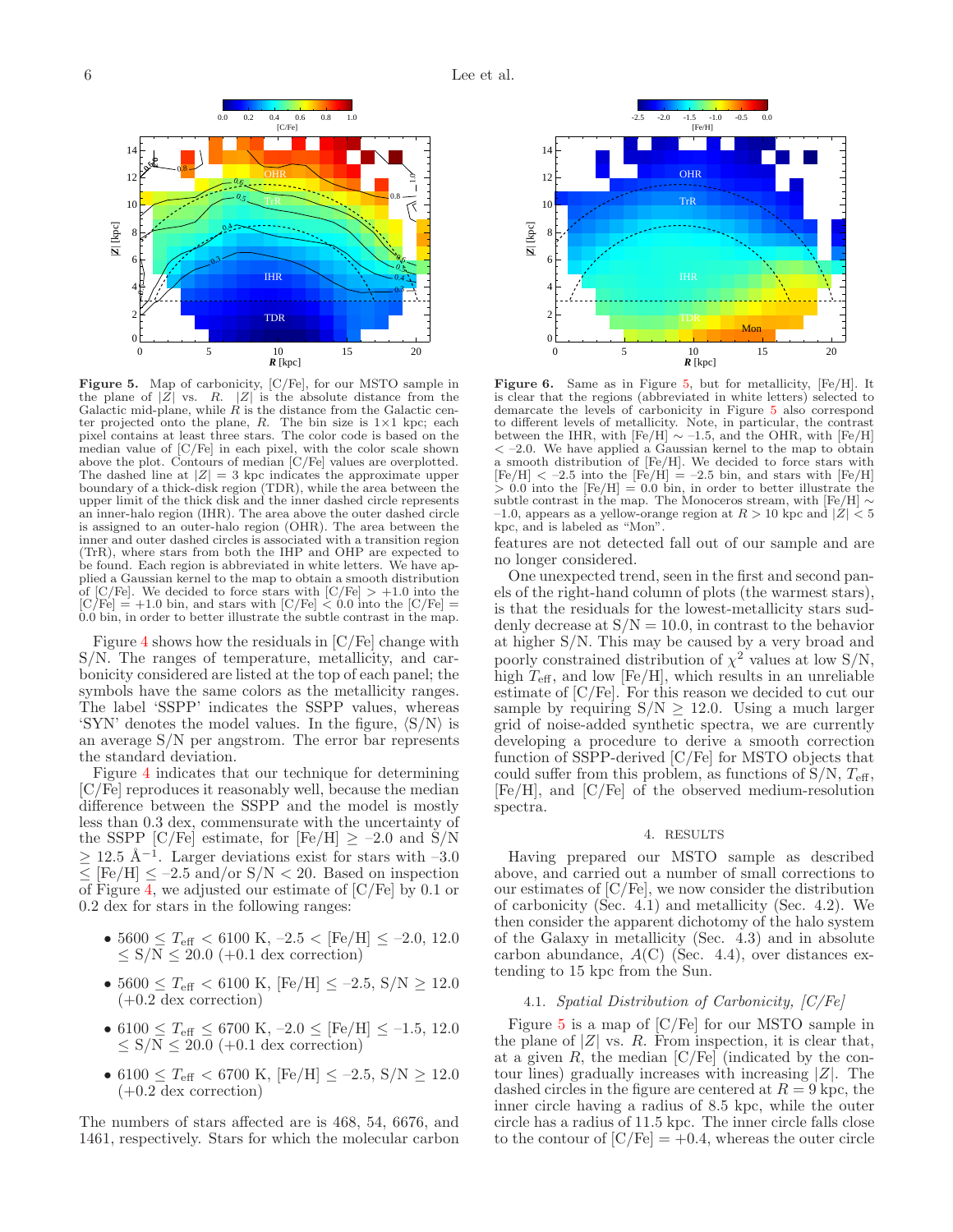

<span id="page-5-0"></span>Figure 5. Map of carbonicity, [C/Fe], for our MSTO sample in the plane of  $|Z|$  vs. R.  $|Z|$  is the absolute distance from the Galactic mid-plane, while  $R$  is the distance from the Galactic center projected onto the plane,  $R$ . The bin size is  $1\times1$  kpc; each pixel contains at least three stars. The color code is based on the median value of [C/Fe] in each pixel, with the color scale shown above the plot. Contours of median [C/Fe] values are overplotted. The dashed line at  $|Z| = 3$  kpc indicates the approximate upper boundary of a thick-disk region (TDR), while the area between the upper limit of the thick disk and the inner dashed circle represents an inner-halo region (IHR). The area above the outer dashed circle is assigned to an outer-halo region (OHR). The area between the inner and outer dashed circles is associated with a transition region (TrR), where stars from both the IHP and OHP are expected to be found. Each region is abbreviated in white letters. We have applied a Gaussian kernel to the map to obtain a smooth distribution of  $\text{[C/Fe]}$ . We decided to force stars with  $\text{[C/Fe]} > +1.0$  into the  $[C/Fe] = +1.0$  bin, and stars with  $[C/Fe] < 0.0$  into the  $[C/Fe] =$ 0.0 bin, in order to better illustrate the subtle contrast in the map.

Figure [4](#page-4-0) shows how the residuals in [C/Fe] change with S/N. The ranges of temperature, metallicity, and carbonicity considered are listed at the top of each panel; the symbols have the same colors as the metallicity ranges. The label 'SSPP' indicates the SSPP values, whereas 'SYN' denotes the model values. In the figure,  $\langle S/N \rangle$  is an average S/N per angstrom. The error bar represents the standard deviation.

Figure [4](#page-4-0) indicates that our technique for determining [C/Fe] reproduces it reasonably well, because the median difference between the SSPP and the model is mostly less than 0.3 dex, commensurate with the uncertainty of the SSPP [C/Fe] estimate, for [Fe/H]  $\geq -2.0$  and S/N  $\geq$  12.5 Å<sup>-1</sup>. Larger deviations exist for stars with -3.0  $\langle$  [Fe/H]  $\leq$  -2.5 and/or S/N  $\langle$  20. Based on inspection of Figure [4,](#page-4-0) we adjusted our estimate of [C/Fe] by 0.1 or 0.2 dex for stars in the following ranges:

- $5600 \leq T_{\text{eff}} < 6100 \text{ K}, -2.5 < [\text{Fe/H}] \leq -2.0, 12.0$  $\leq$  S/N  $\leq$  20.0 (+0.1 dex correction)
- $5600 \leq T_{\text{eff}} < 6100 \text{ K}, \text{[Fe/H]} \leq -2.5, \text{ S/N} \geq 12.0$ (+0.2 dex correction)
- 6100  $\leq T_{\text{eff}} \leq 6700 \text{ K}, -2.0 \leq [\text{Fe/H}] \leq -1.5, 12.0$  $\leq$  S/N  $\leq$  20.0 (+0.1 dex correction)
- 6100  $\leq T_{\rm eff}$  < 6700 K, [Fe/H]  $\leq -2.5$ , S/N  $\geq 12.0$  $(+0.2$  dex correction)

The numbers of stars affected are is 468, 54, 6676, and 1461, respectively. Stars for which the molecular carbon



<span id="page-5-1"></span>Figure 6. Same as in Figure [5,](#page-5-0) but for metallicity, [Fe/H]. It is clear that the regions (abbreviated in white letters) selected to demarcate the levels of carbonicity in Figure [5](#page-5-0) also correspond to different levels of metallicity. Note, in particular, the contrast between the IHR, with  $[Fe/H] \sim -1.5$ , and the OHR, with  $[Fe/H]$  $\langle -2.0. \rangle$  We have applied a Gaussian kernel to the map to obtain a smooth distribution of [Fe/H]. We decided to force stars with  $[Fe/H] < -2.5$  into the  $[Fe/H] = -2.5$  bin, and stars with  $[Fe/H]$  $> 0.0$  into the  $[Fe/H] = 0.0$  bin, in order to better illustrate the subtle contrast in the map. The Monoceros stream, with [Fe/H]  $\sim$ –1.0, appears as a yellow-orange region at  $R > 10$  kpc and  $|\dot{Z}| < 5$ kpc, and is labeled as "Mon".

features are not detected fall out of our sample and are no longer considered.

One unexpected trend, seen in the first and second panels of the right-hand column of plots (the warmest stars), is that the residuals for the lowest-metallicity stars suddenly decrease at  $S/N = 10.0$ , in contrast to the behavior at higher S/N. This may be caused by a very broad and poorly constrained distribution of  $\chi^2$  values at low S/N, high  $T_{\text{eff}}$ , and low [Fe/H], which results in an unreliable estimate of [C/Fe]. For this reason we decided to cut our sample by requiring  $S/N \geq 12.0$ . Using a much larger grid of noise-added synthetic spectra, we are currently developing a procedure to derive a smooth correction function of SSPP-derived [C/Fe] for MSTO objects that could suffer from this problem, as functions of  $S/N$ ,  $T_{\text{eff}}$ , [Fe/H], and [C/Fe] of the observed medium-resolution spectra.

#### 4. RESULTS

Having prepared our MSTO sample as described above, and carried out a number of small corrections to our estimates of [C/Fe], we now consider the distribution of carbonicity (Sec. 4.1) and metallicity (Sec. 4.2). We then consider the apparent dichotomy of the halo system of the Galaxy in metallicity (Sec. 4.3) and in absolute carbon abundance,  $A(C)$  (Sec. 4.4), over distances extending to 15 kpc from the Sun.

## 4.1. Spatial Distribution of Carbonicity, [C/Fe]

Figure [5](#page-5-0) is a map of [C/Fe] for our MSTO sample in the plane of  $|Z|$  vs. R. From inspection, it is clear that, at a given  $R$ , the median  $\lfloor C/Fe \rfloor$  (indicated by the contour lines) gradually increases with increasing  $|Z|$ . The dashed circles in the figure are centered at  $R = 9$  kpc, the inner circle having a radius of 8.5 kpc, while the outer circle has a radius of 11.5 kpc. The inner circle falls close to the contour of  $[C/Fe] = +0.4$ , whereas the outer circle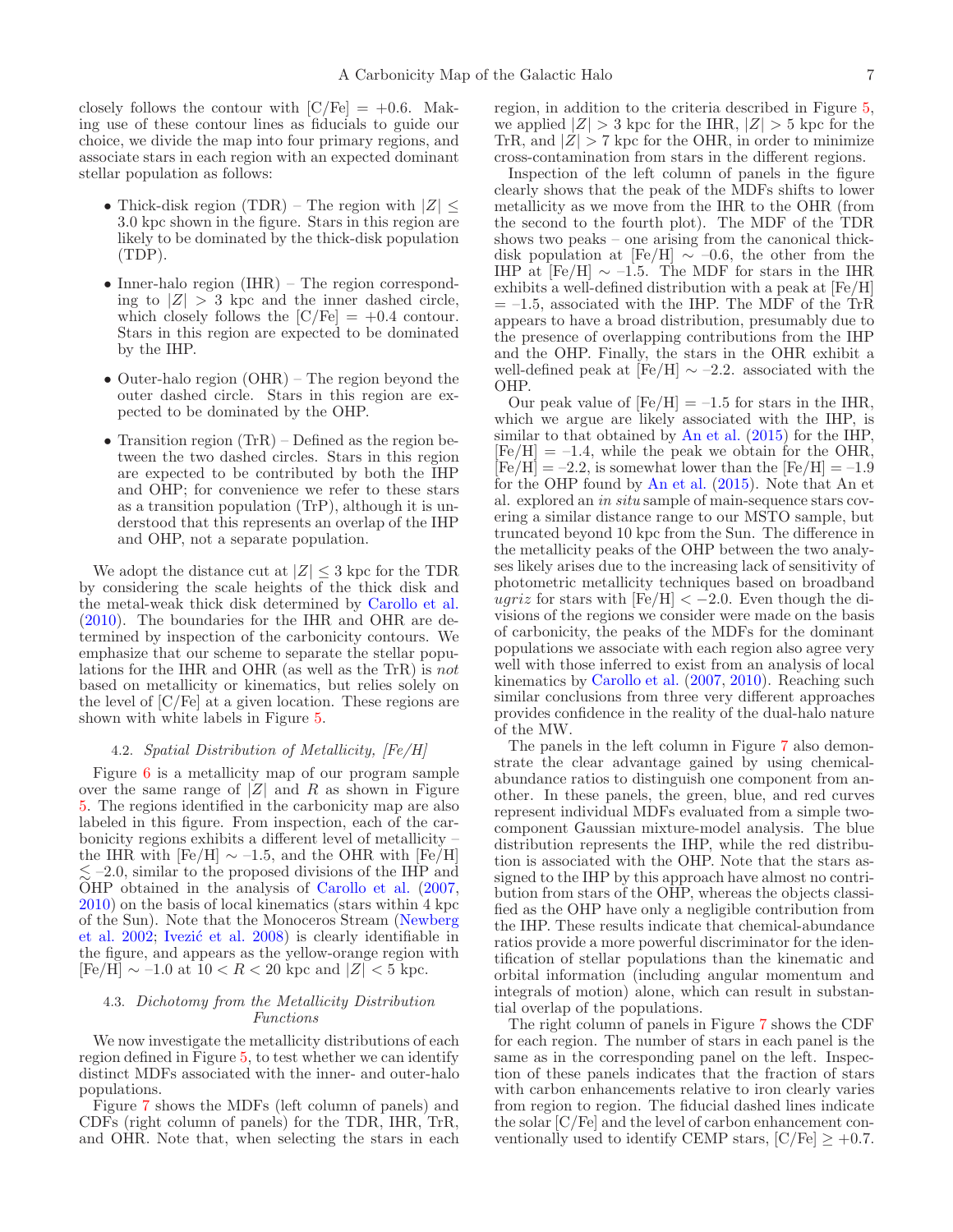closely follows the contour with  $\text{[C/Fe]} = +0.6$ . Making use of these contour lines as fiducials to guide our choice, we divide the map into four primary regions, and associate stars in each region with an expected dominant stellar population as follows:

- Thick-disk region (TDR) The region with  $|Z| \leq$ 3.0 kpc shown in the figure. Stars in this region are likely to be dominated by the thick-disk population (TDP).
- Inner-halo region (IHR) The region corresponding to  $|Z| > 3$  kpc and the inner dashed circle, which closely follows the  $[C/Fe] = +0.4$  contour. Stars in this region are expected to be dominated by the IHP.
- Outer-halo region (OHR) The region beyond the outer dashed circle. Stars in this region are expected to be dominated by the OHP.
- Transition region (TrR) Defined as the region between the two dashed circles. Stars in this region are expected to be contributed by both the IHP and OHP; for convenience we refer to these stars as a transition population (TrP), although it is understood that this represents an overlap of the IHP and OHP, not a separate population.

We adopt the distance cut at  $|Z| \leq 3$  kpc for the TDR by considering the scale heights of the thick disk and the metal-weak thick disk determined by [Carollo et al.](#page-10-1) [\(2010\)](#page-10-1). The boundaries for the IHR and OHR are determined by inspection of the carbonicity contours. We emphasize that our scheme to separate the stellar populations for the IHR and OHR (as well as the TrR) is not based on metallicity or kinematics, but relies solely on the level of [C/Fe] at a given location. These regions are shown with white labels in Figure [5.](#page-5-0)

## 4.2. Spatial Distribution of Metallicity, [Fe/H]

Figure [6](#page-5-1) is a metallicity map of our program sample over the same range of  $|Z|$  and R as shown in Figure [5.](#page-5-0) The regions identified in the carbonicity map are also labeled in this figure. From inspection, each of the carbonicity regions exhibits a different level of metallicity – the IHR with  $[Fe/H] \sim -1.5$ , and the OHR with  $[Fe/H]$  $\leq$  -2.0, similar to the proposed divisions of the IHP and OHP obtained in the analysis of [Carollo et al.](#page-10-0) [\(2007,](#page-10-0) [2010\)](#page-10-1) on the basis of local kinematics (stars within 4 kpc of th[e Sun\). Note that the Monoceros Stream \(](#page-10-44)Newberg et al. [2002;](#page-10-44) Ivezić et al. 2008) is clearly identifiable in the figure, and appears as the yellow-orange region with  $[Fe/H] \sim -1.0$  at  $10 < R < 20$  kpc and  $|Z| < 5$  kpc.

# 4.3. Dichotomy from the Metallicity Distribution Functions

We now investigate the metallicity distributions of each region defined in Figure [5,](#page-5-0) to test whether we can identify distinct MDFs associated with the inner- and outer-halo populations.

Figure [7](#page-7-0) shows the MDFs (left column of panels) and CDFs (right column of panels) for the TDR, IHR, TrR, and OHR. Note that, when selecting the stars in each region, in addition to the criteria described in Figure [5,](#page-5-0) we applied  $|Z| > 3$  kpc for the IHR,  $|Z| > 5$  kpc for the TrR, and  $|Z| > 7$  kpc for the OHR, in order to minimize cross-contamination from stars in the different regions.

Inspection of the left column of panels in the figure clearly shows that the peak of the MDFs shifts to lower metallicity as we move from the IHR to the OHR (from the second to the fourth plot). The MDF of the TDR shows two peaks – one arising from the canonical thickdisk population at [Fe/H]  $\sim$  –0.6, the other from the IHP at  $[Fe/H] \sim -1.5$ . The MDF for stars in the IHR exhibits a well-defined distribution with a peak at [Fe/H]  $= -1.5$ , associated with the IHP. The MDF of the TrR appears to have a broad distribution, presumably due to the presence of overlapping contributions from the IHP and the OHP. Finally, the stars in the OHR exhibit a well-defined peak at [Fe/H]  $\sim$  –2.2. associated with the OHP.

Our peak value of  $[Fe/H] = -1.5$  for stars in the IHR, which we argue are likely associated with the IHP, is similar to that obtained by [An et al.](#page-10-5) [\(2015](#page-10-5)) for the IHP,  $[Fe/H] = -1.4$ , while the peak we obtain for the OHR,  $[Fe/H] = -2.2$ , is somewhat lower than the  $[Fe/H] = -1.9$ for the OHP found by [An et al.](#page-10-5) [\(2015](#page-10-5)). Note that An et al. explored an in situ sample of main-sequence stars covering a similar distance range to our MSTO sample, but truncated beyond 10 kpc from the Sun. The difference in the metallicity peaks of the OHP between the two analyses likely arises due to the increasing lack of sensitivity of photometric metallicity techniques based on broadband ugriz for stars with  $[Fe/H] < -2.0$ . Even though the divisions of the regions we consider were made on the basis of carbonicity, the peaks of the MDFs for the dominant populations we associate with each region also agree very well with those inferred to exist from an analysis of local kinematics by [Carollo et al.](#page-10-0) [\(2007,](#page-10-0) [2010](#page-10-1)). Reaching such similar conclusions from three very different approaches provides confidence in the reality of the dual-halo nature of the MW.

The panels in the left column in Figure [7](#page-7-0) also demonstrate the clear advantage gained by using chemicalabundance ratios to distinguish one component from another. In these panels, the green, blue, and red curves represent individual MDFs evaluated from a simple twocomponent Gaussian mixture-model analysis. The blue distribution represents the IHP, while the red distribution is associated with the OHP. Note that the stars assigned to the IHP by this approach have almost no contribution from stars of the OHP, whereas the objects classified as the OHP have only a negligible contribution from the IHP. These results indicate that chemical-abundance ratios provide a more powerful discriminator for the identification of stellar populations than the kinematic and orbital information (including angular momentum and integrals of motion) alone, which can result in substantial overlap of the populations.

The right column of panels in Figure [7](#page-7-0) shows the CDF for each region. The number of stars in each panel is the same as in the corresponding panel on the left. Inspection of these panels indicates that the fraction of stars with carbon enhancements relative to iron clearly varies from region to region. The fiducial dashed lines indicate the solar [C/Fe] and the level of carbon enhancement conventionally used to identify CEMP stars,  $[C/Fe] \ge +0.7$ .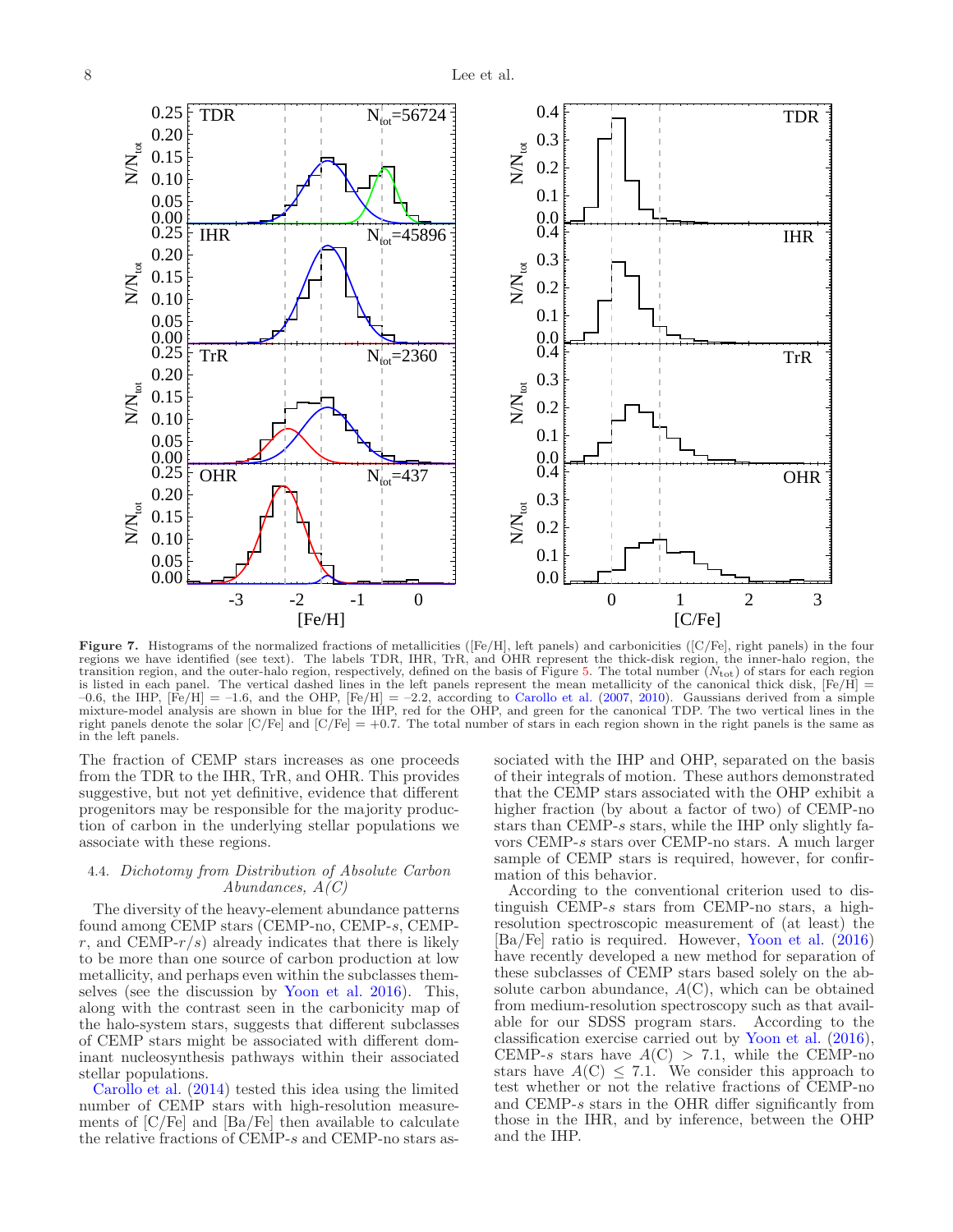

<span id="page-7-0"></span>Figure 7. Histograms of the normalized fractions of metallicities ([Fe/H], left panels) and carbonicities ([C/Fe], right panels) in the four regions we have identified (see text). The labels TDR, IHR, TrR, and OHR represent the thick-disk region, the inner-halo region, the transition region, and the outer-halo region, respectively, defined on the basis of Figure [5.](#page-5-0) The total number  $(N_{\text{tot}})$  of stars for each region is listed in each panel. The vertical dashed lines in the left panels represent the mean metallicity of the canonical thick disk,  $[Fe/H]$  $-0.6$ , the IHP,  $[Fe/H] = -1.6$ , and the OHP,  $[Fe/H] = -2.2$ , according to [Carollo et al.](#page-10-0) [\(2007,](#page-10-0) [2010](#page-10-1)). Gaussians derived from a simple mixture-model analysis are shown in blue for the IHP, red for the OHP, and green for the canonical TDP. The two vertical lines in the right panels denote the solar  $\left[\frac{C}{Fe}\right]$  and  $\left[\frac{C}{Fe}\right] = +0.7$ . The total number of stars in each region shown in the right panels is the same as in the left panels.

The fraction of CEMP stars increases as one proceeds from the TDR to the IHR, TrR, and OHR. This provides suggestive, but not yet definitive, evidence that different progenitors may be responsible for the majority production of carbon in the underlying stellar populations we associate with these regions.

# 4.4. Dichotomy from Distribution of Absolute Carbon Abundances,  $A(C)$

The diversity of the heavy-element abundance patterns found among CEMP stars (CEMP-no, CEMP-s, CEMPr, and CEMP- $r/s$ ) already indicates that there is likely to be more than one source of carbon production at low metallicity, and perhaps even within the subclasses themselves (see the discussion by [Yoon et al. 2016](#page-11-6)). This, along with the contrast seen in the carbonicity map of the halo-system stars, suggests that different subclasses of CEMP stars might be associated with different dominant nucleosynthesis pathways within their associated [stellar populatio](#page-10-17)ns.

Carollo et al. [\(2014](#page-10-17)) tested this idea using the limited number of CEMP stars with high-resolution measurements of [C/Fe] and [Ba/Fe] then available to calculate the relative fractions of CEMP-s and CEMP-no stars associated with the IHP and OHP, separated on the basis of their integrals of motion. These authors demonstrated that the CEMP stars associated with the OHP exhibit a higher fraction (by about a factor of two) of CEMP-no stars than CEMP-s stars, while the IHP only slightly favors CEMP-s stars over CEMP-no stars. A much larger sample of CEMP stars is required, however, for confirmation of this behavior.

According to the conventional criterion used to distinguish CEMP-s stars from CEMP-no stars, a highresolution spectroscopic measurement of (at least) the [Ba/Fe] ratio is required. However, [Yoon et al.](#page-11-6) [\(2016](#page-11-6)) have recently developed a new method for separation of these subclasses of CEMP stars based solely on the absolute carbon abundance,  $A(C)$ , which can be obtained from medium-resolution spectroscopy such as that available for our SDSS program stars. According to the classification exercise carried out by [Yoon et al.](#page-11-6) [\(2016](#page-11-6)), CEMP-s stars have  $A(C) > 7.1$ , while the CEMP-no stars have  $A(C) \leq 7.1$ . We consider this approach to test whether or not the relative fractions of CEMP-no and CEMP-s stars in the OHR differ significantly from those in the IHR, and by inference, between the OHP and the IHP.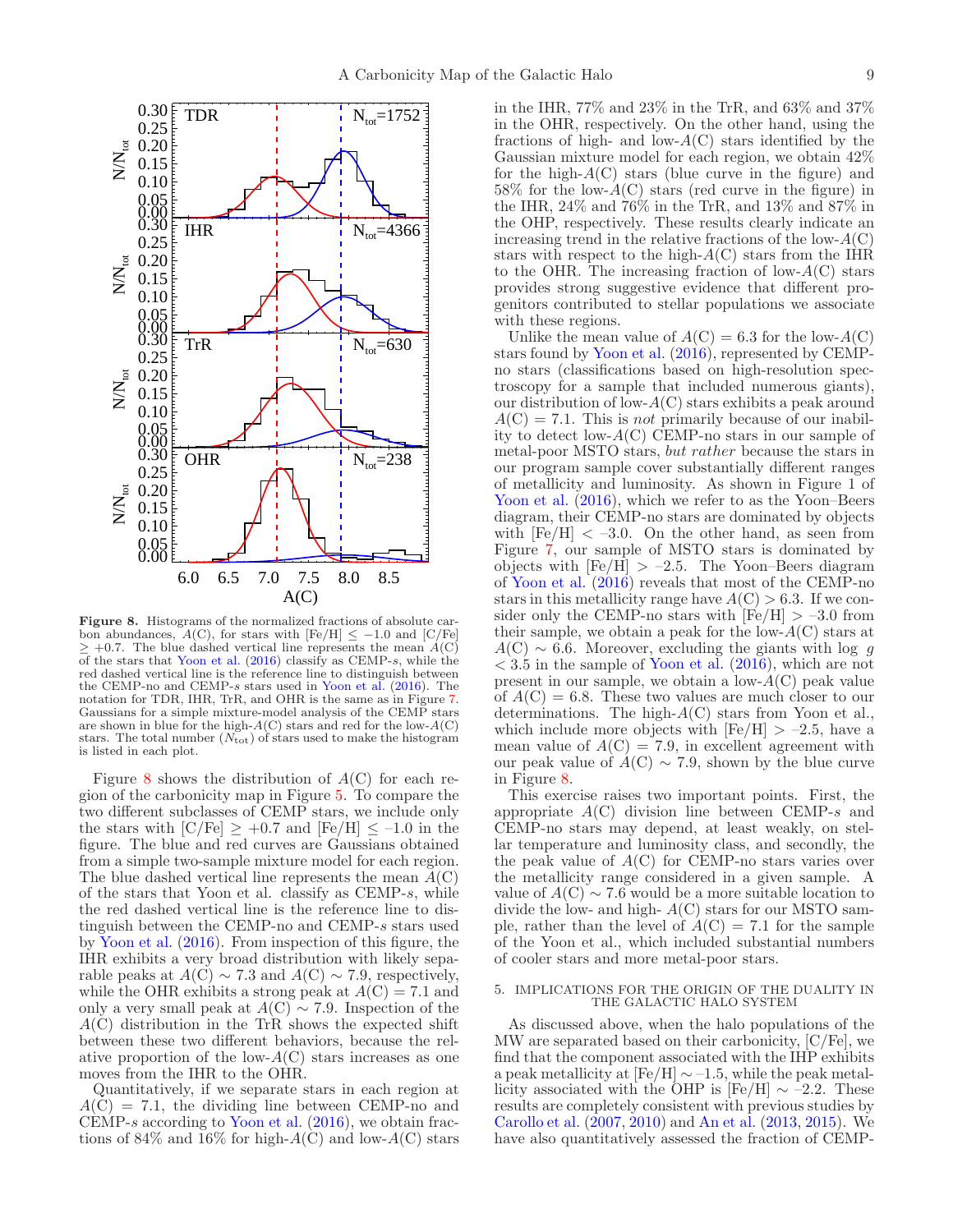

<span id="page-8-0"></span>Figure 8. Histograms of the normalized fractions of absolute carbon abundances,  $A(C)$ , for stars with [Fe/H]  $\leq -1.0$  and [C/Fe]  $+0.7$ . The blue dashed vertical line represents the mean  $A(C)$ of the stars that [Yoon et al.](#page-11-6) [\(2016\)](#page-11-6) classify as CEMP-s, while the red dashed vertical line is the reference line to distinguish between the CEMP-no and CEMP-s stars used in [Yoon et al.](#page-11-6) [\(2016\)](#page-11-6). The notation for TDR, IHR, TrR, and OHR is the same as in Figure [7.](#page-7-0) Gaussians for a simple mixture-model analysis of the CEMP stars are shown in blue for the high- $A(C)$  stars and red for the low- $A(C)$ stars. The total number  $(N_{\text{tot}})$  of stars used to make the histogram is listed in each plot.

Figure [8](#page-8-0) shows the distribution of  $A(C)$  for each region of the carbonicity map in Figure [5.](#page-5-0) To compare the two different subclasses of CEMP stars, we include only the stars with  $\text{[C/Fe]} \geq +0.7$  and  $\text{[Fe/H]} \leq -1.0$  in the figure. The blue and red curves are Gaussians obtained from a simple two-sample mixture model for each region. The blue dashed vertical line represents the mean  $A(\mathcal{C})$ of the stars that Yoon et al. classify as CEMP-s, while the red dashed vertical line is the reference line to distinguish between the CEMP-no and CEMP-s stars used by [Yoon et al.](#page-11-6) [\(2016\)](#page-11-6). From inspection of this figure, the IHR exhibits a very broad distribution with likely separable peaks at  $A(\overrightarrow{C}) \sim 7.3$  and  $A(\overrightarrow{C}) \sim 7.9$ , respectively, while the OHR exhibits a strong peak at  $A(C) = 7.1$  and only a very small peak at  $A(\mathcal{C}) \sim 7.9$ . Inspection of the  $A(C)$  distribution in the TrR shows the expected shift between these two different behaviors, because the relative proportion of the low- $A(C)$  stars increases as one moves from the IHR to the OHR.

Quantitatively, if we separate stars in each region at  $A(C) = 7.1$ , the dividing line between CEMP-no and CEMP-s according to [Yoon et al.](#page-11-6) [\(2016](#page-11-6)), we obtain fractions of 84\% and 16\% for high- $A(C)$  and low- $A(C)$  stars in the IHR, 77% and 23% in the TrR, and 63% and 37% in the OHR, respectively. On the other hand, using the fractions of high- and low- $A(C)$  stars identified by the Gaussian mixture model for each region, we obtain 42% for the high- $A(C)$  stars (blue curve in the figure) and  $58\%$  for the low- $A(C)$  stars (red curve in the figure) in the IHR, 24% and 76% in the TrR, and 13% and 87% in the OHP, respectively. These results clearly indicate an increasing trend in the relative fractions of the low- $A(C)$ stars with respect to the high- $A(C)$  stars from the IHR to the OHR. The increasing fraction of low- $A(C)$  stars provides strong suggestive evidence that different progenitors contributed to stellar populations we associate with these regions.

Unlike the mean value of  $A(C) = 6.3$  for the low- $A(C)$ stars found by [Yoon et al.](#page-11-6) [\(2016](#page-11-6)), represented by CEMPno stars (classifications based on high-resolution spectroscopy for a sample that included numerous giants), our distribution of low- $A(C)$  stars exhibits a peak around  $A(C) = 7.1$ . This is *not* primarily because of our inability to detect low-A(C) CEMP-no stars in our sample of metal-poor MSTO stars, but rather because the stars in our program sample cover substantially different ranges of metallicity and luminosity. As shown in Figure 1 of [Yoon et al.](#page-11-6)  $(2016)$ , which we refer to as the Yoon–Beers diagram, their CEMP-no stars are dominated by objects with  $[Fe/H] < -3.0$ . On the other hand, as seen from Figure [7,](#page-7-0) our sample of MSTO stars is dominated by objects with  $[Fe/H] > -2.5$ . The Yoon–Beers diagram of [Yoon et al.](#page-11-6) [\(2016](#page-11-6)) reveals that most of the CEMP-no stars in this metallicity range have  $A(C) > 6.3$ . If we consider only the CEMP-no stars with  $[Fe/H] > -3.0$  from their sample, we obtain a peak for the low- $A(C)$  stars at  $A(\text{C}) \sim 6.6$ . Moreover, excluding the giants with log g  $<$  3.5 in the sample of [Yoon et al.](#page-11-6) [\(2016\)](#page-11-6), which are not present in our sample, we obtain a low- $A(C)$  peak value of  $A(C) = 6.8$ . These two values are much closer to our determinations. The high- $A(C)$  stars from Yoon et al., which include more objects with  $[Fe/H] > -2.5$ , have a mean value of  $A(C) = 7.9$ , in excellent agreement with our peak value of  $\hat{A}(C) \sim 7.9$ , shown by the blue curve in Figure [8.](#page-8-0)

This exercise raises two important points. First, the appropriate  $A(C)$  division line between CEMP-s and CEMP-no stars may depend, at least weakly, on stellar temperature and luminosity class, and secondly, the the peak value of  $A(C)$  for CEMP-no stars varies over the metallicity range considered in a given sample. A value of  $A$ (C)  $\sim$  7.6 would be a more suitable location to divide the low- and high-  $A(C)$  stars for our MSTO sample, rather than the level of  $\ddot{A}(C) = 7.1$  for the sample of the Yoon et al., which included substantial numbers of cooler stars and more metal-poor stars.

### 5. IMPLICATIONS FOR THE ORIGIN OF THE DUALITY IN THE GALACTIC HALO SYSTEM

As discussed above, when the halo populations of the MW are separated based on their carbonicity, [C/Fe], we find that the component associated with the IHP exhibits a peak metallicity at  $[Fe/H] \sim -1.5$ , while the peak metallicity associated with the OHP is [Fe/H]  $\sim$  –2.2. These results are completely consistent with previous studies by [Carollo et al.](#page-10-0) [\(2007](#page-10-0), [2010\)](#page-10-1) and [An et al.](#page-10-4) [\(2013](#page-10-4), [2015\)](#page-10-5). We have also quantitatively assessed the fraction of CEMP-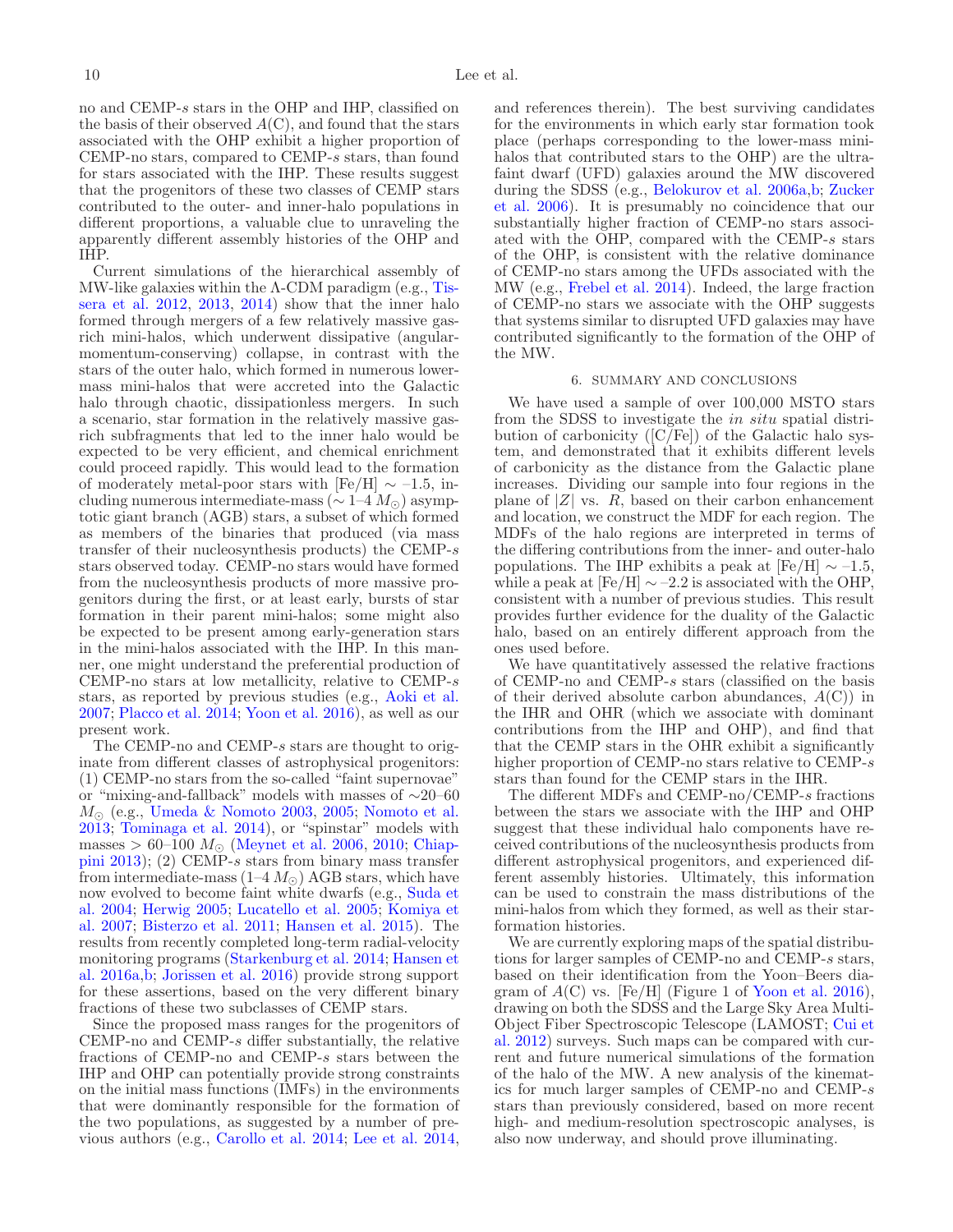no and CEMP-s stars in the OHP and IHP, classified on the basis of their observed  $A(C)$ , and found that the stars associated with the OHP exhibit a higher proportion of CEMP-no stars, compared to CEMP-s stars, than found for stars associated with the IHP. These results suggest that the progenitors of these two classes of CEMP stars contributed to the outer- and inner-halo populations in different proportions, a valuable clue to unraveling the apparently different assembly histories of the OHP and IHP.

Current simulations of the hierarchical assembly of MW-like g[alaxies within the Λ-CDM paradigm \(e.g.,](#page-11-10) Tissera et al. [2012](#page-11-10), [2013,](#page-11-1) [2014\)](#page-11-2) show that the inner halo formed through mergers of a few relatively massive gasrich mini-halos, which underwent dissipative (angularmomentum-conserving) collapse, in contrast with the stars of the outer halo, which formed in numerous lowermass mini-halos that were accreted into the Galactic halo through chaotic, dissipationless mergers. In such a scenario, star formation in the relatively massive gasrich subfragments that led to the inner halo would be expected to be very efficient, and chemical enrichment could proceed rapidly. This would lead to the formation of moderately metal-poor stars with  $[Fe/H] \sim -1.5$ , including numerous intermediate-mass ( $\sim 1-4 M_{\odot}$ ) asymptotic giant branch (AGB) stars, a subset of which formed as members of the binaries that produced (via mass transfer of their nucleosynthesis products) the CEMP-s stars observed today. CEMP-no stars would have formed from the nucleosynthesis products of more massive progenitors during the first, or at least early, bursts of star formation in their parent mini-halos; some might also be expected to be present among early-generation stars in the mini-halos associated with the IHP. In this manner, one might understand the preferential production of CEMP-no stars at low metallicity, relative to CEMP-s stars, as reported by previous studies (e.g., [Aoki et al.](#page-10-29) [2007;](#page-10-29) [Placco et al. 2014](#page-10-25); [Yoon et al. 2016\)](#page-11-6), as well as our present work.

The CEMP-no and CEMP-s stars are thought to originate from different classes of astrophysical progenitors: (1) CEMP-no stars from the so-called "faint supernovae" or "mixing-and-fallback" models with masses of ∼20–60  $M_{\odot}$  (e.g., [Umeda & Nomoto 2003](#page-11-11), [2005;](#page-11-12) [Nomoto et al.](#page-10-46) [2013;](#page-10-46) [Tominaga et al. 2014\)](#page-11-13), or "spinstar" models with masses > 60–100  $M_{\odot}$  [\(Meynet et al. 2006,](#page-10-47) [2010;](#page-10-48) Chiappini [2013\)](#page-10-49); (2) CEMP-s stars from binary mass transfer from intermediate-mass  $(1-4 M_{\odot})$  AGB stars, which have n[ow evolved to become faint white dwarfs \(e.g.,](#page-11-14) Suda et al. [2004](#page-11-14); [Herwig 2005](#page-10-50); [Lucatello et al. 2005](#page-10-51)[;](#page-10-52) Komiya et al. [2007](#page-10-52); [Bisterzo et al. 2011](#page-10-53); [Hansen et al. 2015\)](#page-10-54). The results from recently completed long-term radial-velocity m[onitoring programs](#page-10-31) [\(Starkenburg et al. 2014](#page-11-7)[;](#page-10-31) Hansen et al. [2016a](#page-10-31)[,b](#page-10-32); [Jorissen et al. 2016](#page-10-33)) provide strong support for these assertions, based on the very different binary fractions of these two subclasses of CEMP stars.

Since the proposed mass ranges for the progenitors of CEMP-no and CEMP-s differ substantially, the relative fractions of CEMP-no and CEMP-s stars between the IHP and OHP can potentially provide strong constraints on the initial mass functions (IMFs) in the environments that were dominantly responsible for the formation of the two populations, as suggested by a number of previous authors (e.g., [Carollo et al. 2014;](#page-10-17) [Lee et al. 2014,](#page-10-55)

and references therein). The best surviving candidates for the environments in which early star formation took place (perhaps corresponding to the lower-mass minihalos that contributed stars to the OHP) are the ultrafaint dwarf (UFD) galaxies around the MW discovered during the SDSS (e.g., [Belokurov et al. 2006a](#page-10-56)[,b](#page-10-57)[;](#page-11-15) Zucker et al. [2006](#page-11-15)). It is presumably no coincidence that our substantially higher fraction of CEMP-no stars associated with the OHP, compared with the CEMP-s stars of the OHP, is consistent with the relative dominance of CEMP-no stars among the UFDs associated with the MW (e.g., [Frebel et al. 2014](#page-10-58)). Indeed, the large fraction of CEMP-no stars we associate with the OHP suggests that systems similar to disrupted UFD galaxies may have contributed significantly to the formation of the OHP of the MW.

#### 6. SUMMARY AND CONCLUSIONS

We have used a sample of over 100,000 MSTO stars from the SDSS to investigate the in situ spatial distribution of carbonicity ( $[C/Fe]$ ) of the Galactic halo system, and demonstrated that it exhibits different levels of carbonicity as the distance from the Galactic plane increases. Dividing our sample into four regions in the plane of  $|Z|$  vs.  $R$ , based on their carbon enhancement and location, we construct the MDF for each region. The MDFs of the halo regions are interpreted in terms of the differing contributions from the inner- and outer-halo populations. The IHP exhibits a peak at  $[Fe/H] \sim -1.5$ , while a peak at  $[Fe/H] \sim -2.2$  is associated with the OHP, consistent with a number of previous studies. This result provides further evidence for the duality of the Galactic halo, based on an entirely different approach from the ones used before.

We have quantitatively assessed the relative fractions of CEMP-no and CEMP-s stars (classified on the basis of their derived absolute carbon abundances,  $A(C)$  in the IHR and OHR (which we associate with dominant contributions from the IHP and OHP), and find that that the CEMP stars in the OHR exhibit a significantly higher proportion of CEMP-no stars relative to CEMP-s stars than found for the CEMP stars in the IHR.

The different MDFs and CEMP-no/CEMP-s fractions between the stars we associate with the IHP and OHP suggest that these individual halo components have received contributions of the nucleosynthesis products from different astrophysical progenitors, and experienced different assembly histories. Ultimately, this information can be used to constrain the mass distributions of the mini-halos from which they formed, as well as their starformation histories.

We are currently exploring maps of the spatial distributions for larger samples of CEMP-no and CEMP-s stars, based on their identification from the Yoon–Beers diagram of  $A(C)$  vs. [Fe/H] (Figure 1 of [Yoon et al. 2016](#page-11-6)), drawing on both the SDSS and the Large Sky Area Multi-O[bject Fiber Spectroscopic Telescope \(LAMOST;](#page-10-59) Cui et al. [2012](#page-10-59)) surveys. Such maps can be compared with current and future numerical simulations of the formation of the halo of the MW. A new analysis of the kinematics for much larger samples of CEMP-no and CEMP-s stars than previously considered, based on more recent high- and medium-resolution spectroscopic analyses, is also now underway, and should prove illuminating.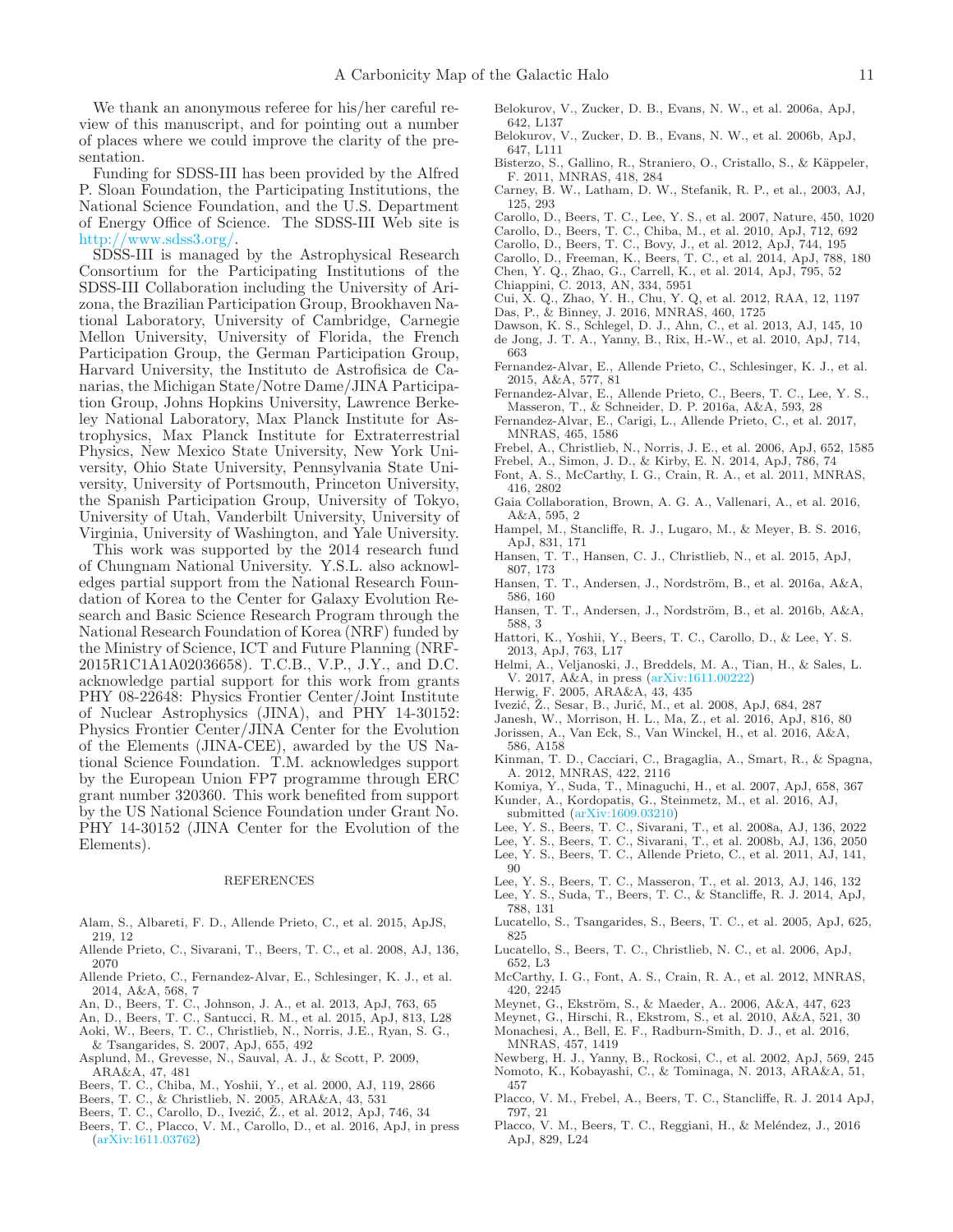We thank an anonymous referee for his/her careful review of this manuscript, and for pointing out a number of places where we could improve the clarity of the presentation.

Funding for SDSS-III has been provided by the Alfred P. Sloan Foundation, the Participating Institutions, the National Science Foundation, and the U.S. Department of Energy Office of Science. The SDSS-III Web site is [http://www.sdss3.org/.](http://www.sdss3.org/)

SDSS-III is managed by the Astrophysical Research Consortium for the Participating Institutions of the SDSS-III Collaboration including the University of Arizona, the Brazilian Participation Group, Brookhaven National Laboratory, University of Cambridge, Carnegie Mellon University, University of Florida, the French Participation Group, the German Participation Group, Harvard University, the Instituto de Astrofisica de Canarias, the Michigan State/Notre Dame/JINA Participation Group, Johns Hopkins University, Lawrence Berkeley National Laboratory, Max Planck Institute for Astrophysics, Max Planck Institute for Extraterrestrial Physics, New Mexico State University, New York University, Ohio State University, Pennsylvania State University, University of Portsmouth, Princeton University, the Spanish Participation Group, University of Tokyo, University of Utah, Vanderbilt University, University of Virginia, University of Washington, and Yale University.

This work was supported by the 2014 research fund of Chungnam National University. Y.S.L. also acknowledges partial support from the National Research Foundation of Korea to the Center for Galaxy Evolution Research and Basic Science Research Program through the National Research Foundation of Korea (NRF) funded by the Ministry of Science, ICT and Future Planning (NRF-2015R1C1A1A02036658). T.C.B., V.P., J.Y., and D.C. acknowledge partial support for this work from grants PHY 08-22648: Physics Frontier Center/Joint Institute of Nuclear Astrophysics (JINA), and PHY 14-30152: Physics Frontier Center/JINA Center for the Evolution of the Elements (JINA-CEE), awarded by the US National Science Foundation. T.M. acknowledges support by the European Union FP7 programme through ERC grant number 320360. This work benefited from support by the US National Science Foundation under Grant No. PHY 14-30152 (JINA Center for the Evolution of the Elements).

#### REFERENCES

- <span id="page-10-36"></span>Alam, S., Albareti, F. D., Allende Prieto, C., et al. 2015, ApJS, 219, 12
- <span id="page-10-39"></span>Allende Prieto, C., Sivarani, T., Beers, T. C., et al. 2008, AJ, 136, 2070
- <span id="page-10-7"></span>Allende Prieto, C., Fernandez-Alvar, E., Schlesinger, K. J., et al. 2014, A&A, 568, 7
- <span id="page-10-4"></span>An, D., Beers, T. C., Johnson, J. A., et al. 2013, ApJ, 763, 65
- <span id="page-10-5"></span>An, D., Beers, T. C., Santucci, R. M., et al. 2015, ApJ, 813, L28
- <span id="page-10-29"></span>Aoki, W., Beers, T. C., Christlieb, N., Norris, J.E., Ryan, S. G., & Tsangarides, S. 2007, ApJ, 655, 492
- <span id="page-10-43"></span>Asplund, M., Grevesse, N., Sauval, A. J., & Scott, P. 2009, ARA&A, 47, 481
- <span id="page-10-41"></span>Beers, T. C., Chiba, M., Yoshii, Y., et al. 2000, AJ, 119, 2866
- <span id="page-10-22"></span>Beers, T. C., & Christlieb, N. 2005, ARA&A, 43, 531
- <span id="page-10-3"></span>Beers, T. C., Carollo, D., Ivezić, Ž., et al. 2012, ApJ, 746, 34
- <span id="page-10-28"></span>Beers, T. C., Placco, V. M., Carollo, D., et al. 2016, ApJ, in press [\(arXiv:1611.03762\)](http://arxiv.org/abs/1611.03762)
- <span id="page-10-56"></span>Belokurov, V., Zucker, D. B., Evans, N. W., et al. 2006a, ApJ, 642, L137
- <span id="page-10-57"></span>Belokurov, V., Zucker, D. B., Evans, N. W., et al. 2006b, ApJ, 647, L111
- <span id="page-10-53"></span>Bisterzo, S., Gallino, R., Straniero, O., Cristallo, S., & Käppeler, F. 2011, MNRAS, 418, 284
- <span id="page-10-34"></span>Carney, B. W., Latham, D. W., Stefanik, R. P., et al., 2003, AJ, 125, 293
- <span id="page-10-0"></span>Carollo, D., Beers, T. C., Lee, Y. S., et al. 2007, Nature, 450, 1020
- <span id="page-10-1"></span>Carollo, D., Beers, T. C., Chiba, M., et al. 2010, ApJ, 712, 692
- <span id="page-10-27"></span>Carollo, D., Beers, T. C., Bovy, J., et al. 2012, ApJ, 744, 195
- <span id="page-10-17"></span>Carollo, D., Freeman, K., Beers, T. C., et al. 2014, ApJ, 788, 180
- <span id="page-10-8"></span>Chen, Y. Q., Zhao, G., Carrell, K., et al. 2014, ApJ, 795, 52
- <span id="page-10-49"></span>Chiappini, C. 2013, AN, 334, 5951
- <span id="page-10-59"></span>Cui, X. Q., Zhao, Y. H., Chu, Y. Q, et al. 2012, RAA, 12, 1197
- <span id="page-10-13"></span>Das, P., & Binney, J. 2016, MNRAS, 460, 1725
- <span id="page-10-35"></span><span id="page-10-2"></span>Dawson, K. S., Schlegel, D. J., Ahn, C., et al. 2013, AJ, 145, 10 de Jong, J. T. A., Yanny, B., Rix, H.-W., et al. 2010, ApJ, 714, 663
- <span id="page-10-9"></span>Fernandez-Alvar, E., Allende Prieto, C., Schlesinger, K. J., et al. 2015, A&A, 577, 81
- <span id="page-10-10"></span>Fernandez-Alvar, E., Allende Prieto, C., Beers, T. C., Lee, Y. S., Masseron, T., & Schneider, D. P. 2016a, A&A, 593, 28
- <span id="page-10-11"></span>Fernandez-Alvar, E., Carigi, L., Allende Prieto, C., et al. 2017, MNRAS, 465, 1586
- Frebel, A., Christlieb, N., Norris, J. E., et al. 2006, ApJ, 652, 1585
- <span id="page-10-58"></span><span id="page-10-26"></span>Frebel, A., Simon, J. D., & Kirby, E. N. 2014, ApJ, 786, 74
- <span id="page-10-14"></span>Font, A. S., McCarthy, I. G., Crain, R. A., et al. 2011, MNRAS, 416, 2802
- <span id="page-10-19"></span>Gaia Collaboration, Brown, A. G. A., Vallenari, A., et al. 2016, A&A, 595, 2
- <span id="page-10-30"></span>Hampel, M., Stancliffe, R. J., Lugaro, M., & Meyer, B. S. 2016, ApJ, 831, 171
- <span id="page-10-54"></span>Hansen, T. T., Hansen, C. J., Christlieb, N., et al. 2015, ApJ, 807, 173
- <span id="page-10-31"></span>Hansen, T. T., Andersen, J., Nordström, B., et al. 2016a, A&A, 586, 160
- <span id="page-10-32"></span>Hansen, T. T., Andersen, J., Nordström, B., et al. 2016b, A&A, 588, 3
- <span id="page-10-6"></span>Hattori, K., Yoshii, Y., Beers, T. C., Carollo, D., & Lee, Y. S. 2013, ApJ, 763, L17
- <span id="page-10-18"></span>Helmi, A., Veljanoski, J., Breddels, M. A., Tian, H., & Sales, L. V. 2017, A&A, in press [\(arXiv:1611.00222\)](http://arxiv.org/abs/1611.00222)
- <span id="page-10-50"></span>Herwig, F. 2005, ARA&A, 43, 435
- <span id="page-10-45"></span>Ivezić, Ž., Sesar, B., Jurić, M., et al. 2008, ApJ, 684, 287
- <span id="page-10-12"></span>Janesh, W., Morrison, H. L., Ma, Z., et al. 2016, ApJ, 816, 80
- <span id="page-10-33"></span>Jorissen, A., Van Eck, S., Van Winckel, H., et al. 2016, A&A, 586, A158
- <span id="page-10-16"></span>Kinman, T. D., Cacciari, C., Bragaglia, A., Smart, R., & Spagna, A. 2012, MNRAS, 422, 2116
- <span id="page-10-52"></span>Komiya, Y., Suda, T., Minaguchi, H., et al. 2007, ApJ, 658, 367 Kunder, A., Kordopatis, G., Steinmetz, M., et al. 2016, AJ,
- <span id="page-10-20"></span>submitted [\(arXiv:1609.03210\)](http://arxiv.org/abs/1609.03210)
- <span id="page-10-37"></span>Lee, Y. S., Beers, T. C., Sivarani, T., et al. 2008a, AJ, 136, 2022
- <span id="page-10-38"></span>Lee, Y. S., Beers, T. C., Sivarani, T., et al. 2008b, AJ, 136, 2050
- <span id="page-10-40"></span>Lee, Y. S., Beers, T. C., Allende Prieto, C., et al. 2011, AJ, 141, 90
- <span id="page-10-24"></span>Lee, Y. S., Beers, T. C., Masseron, T., et al. 2013, AJ, 146, 132
- <span id="page-10-55"></span>Lee, Y. S., Suda, T., Beers, T. C., & Stancliffe, R. J. 2014, ApJ,
- <span id="page-10-51"></span>788, 131 Lucatello, S., Tsangarides, S., Beers, T. C., et al. 2005, ApJ, 625, 825
- <span id="page-10-23"></span>Lucatello, S., Beers, T. C., Christlieb, N. C., et al. 2006, ApJ, 652, L3
- <span id="page-10-15"></span>McCarthy, I. G., Font, A. S., Crain, R. A., et al. 2012, MNRAS, 420, 2245
- <span id="page-10-47"></span>Meynet, G., Ekström, S., & Maeder, A.. 2006, A&A, 447, 623
- <span id="page-10-48"></span>Meynet, G., Hirschi, R., Ekstrom, S., et al. 2010, A&A, 521, 30
- <span id="page-10-21"></span>Monachesi, A., Bell, E. F., Radburn-Smith, D. J., et al. 2016, MNRAS, 457, 1419
- <span id="page-10-44"></span>Newberg, H. J., Yanny, B., Rockosi, C., et al. 2002, ApJ, 569, 245
- <span id="page-10-46"></span>Nomoto, K., Kobayashi, C., & Tominaga, N. 2013, ARA&A, 51, 457
- <span id="page-10-25"></span>Placco, V. M., Frebel, A., Beers, T. C., Stancliffe, R. J. 2014 ApJ, 797, 21
- <span id="page-10-42"></span>Placco, V. M., Beers, T. C., Reggiani, H., & Meléndez, J., 2016 ApJ, 829, L24